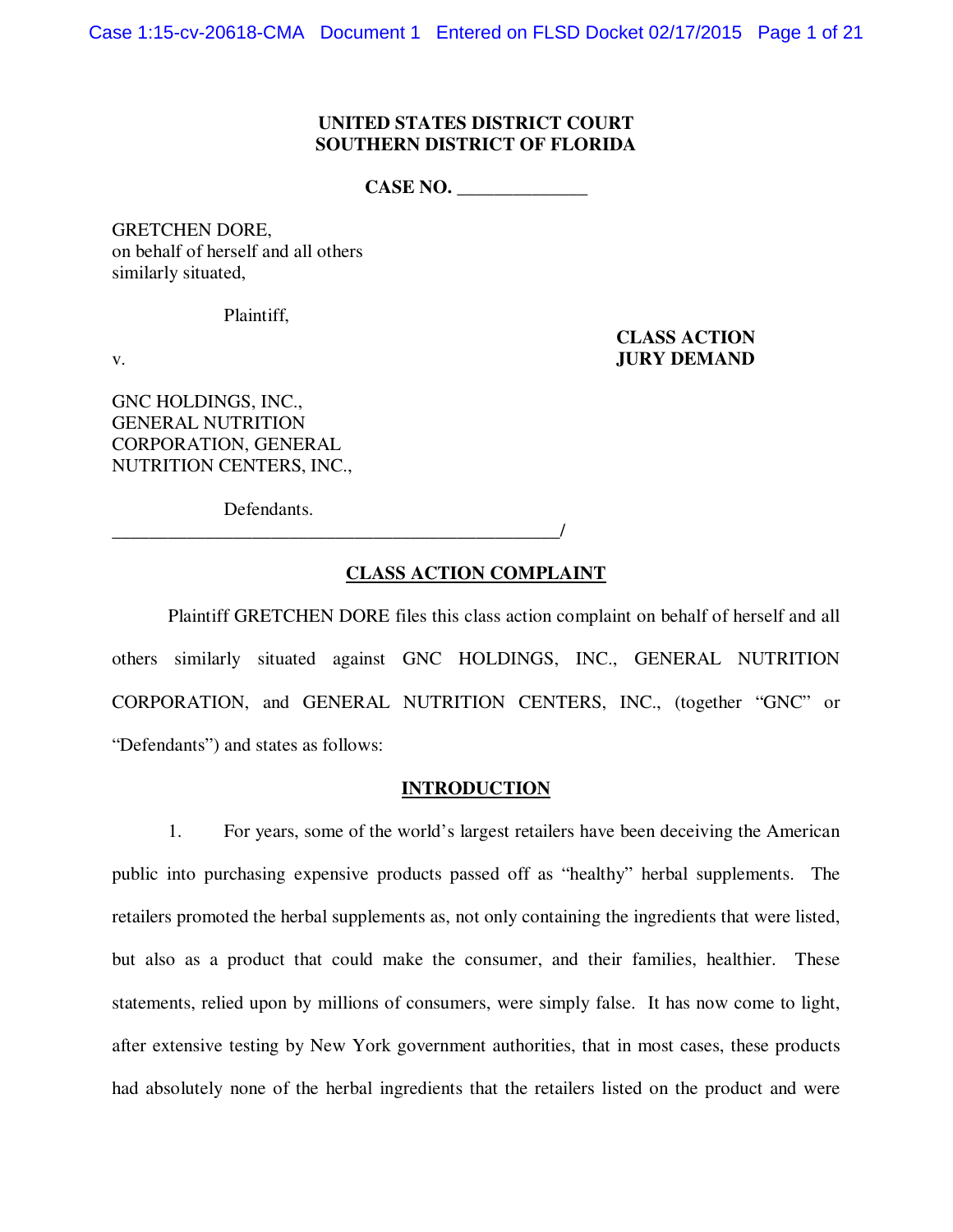#### **UNITED STATES DISTRICT COURT SOUTHERN DISTRICT OF FLORIDA**

CASE NO.

GRETCHEN DORE, on behalf of herself and all others similarly situated,

Plaintiff,

 **CLASS ACTION**  v. **JURY DEMAND**

GNC HOLDINGS, INC., GENERAL NUTRITION CORPORATION, GENERAL NUTRITION CENTERS, INC.,

Defendants.

\_\_\_\_\_\_\_\_\_\_\_\_\_\_\_\_\_\_\_\_\_\_\_\_\_\_\_\_\_\_\_\_\_\_\_\_\_\_\_\_\_\_\_\_\_\_\_\_/

## **CLASS ACTION COMPLAINT**

 Plaintiff GRETCHEN DORE files this class action complaint on behalf of herself and all others similarly situated against GNC HOLDINGS, INC., GENERAL NUTRITION CORPORATION, and GENERAL NUTRITION CENTERS, INC., (together "GNC" or "Defendants") and states as follows:

#### **INTRODUCTION**

1. For years, some of the world's largest retailers have been deceiving the American public into purchasing expensive products passed off as "healthy" herbal supplements. The retailers promoted the herbal supplements as, not only containing the ingredients that were listed, but also as a product that could make the consumer, and their families, healthier. These statements, relied upon by millions of consumers, were simply false. It has now come to light, after extensive testing by New York government authorities, that in most cases, these products had absolutely none of the herbal ingredients that the retailers listed on the product and were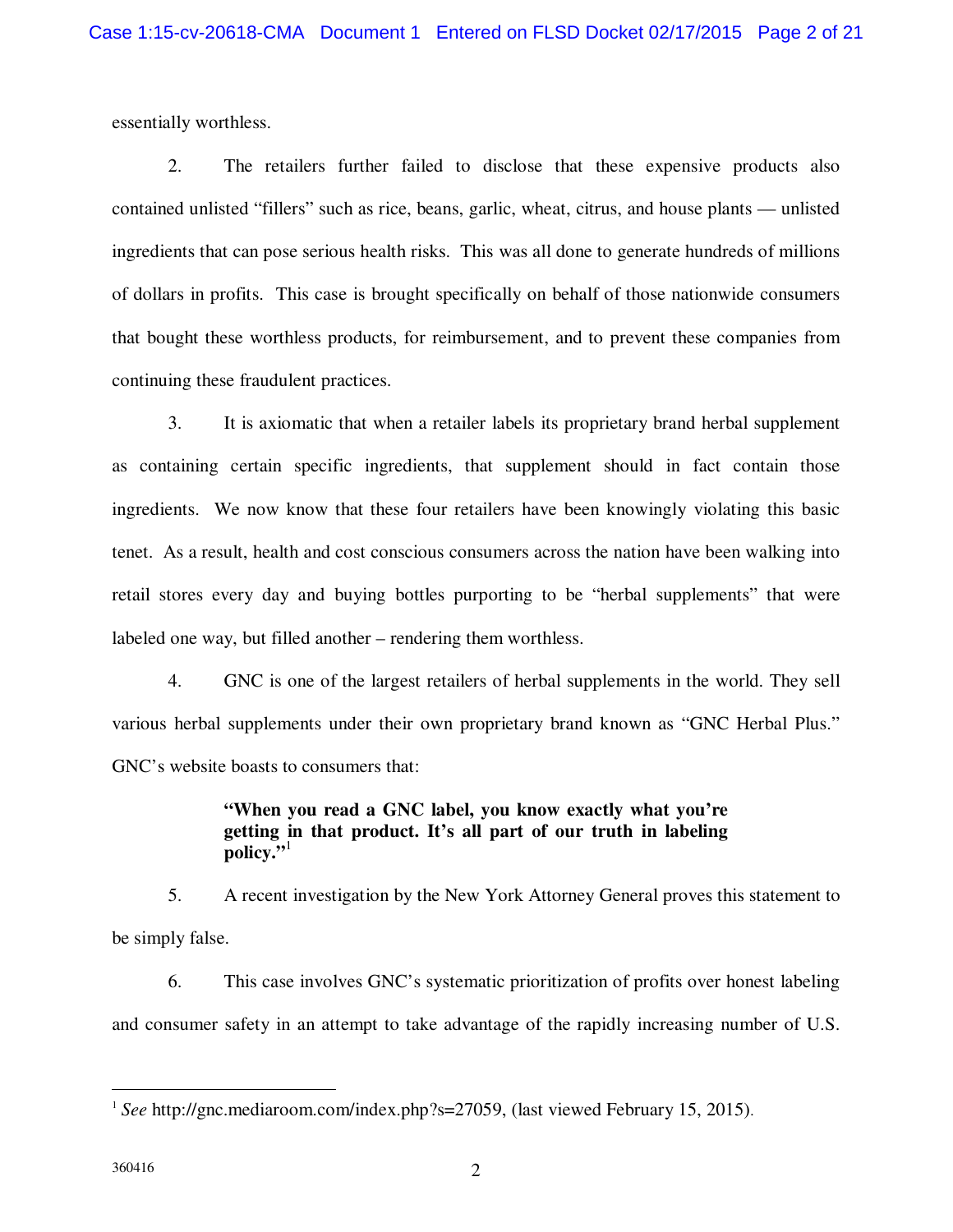essentially worthless.

2. The retailers further failed to disclose that these expensive products also contained unlisted "fillers" such as rice, beans, garlic, wheat, citrus, and house plants — unlisted ingredients that can pose serious health risks. This was all done to generate hundreds of millions of dollars in profits. This case is brought specifically on behalf of those nationwide consumers that bought these worthless products, for reimbursement, and to prevent these companies from continuing these fraudulent practices.

3. It is axiomatic that when a retailer labels its proprietary brand herbal supplement as containing certain specific ingredients, that supplement should in fact contain those ingredients. We now know that these four retailers have been knowingly violating this basic tenet. As a result, health and cost conscious consumers across the nation have been walking into retail stores every day and buying bottles purporting to be "herbal supplements" that were labeled one way, but filled another – rendering them worthless.

4. GNC is one of the largest retailers of herbal supplements in the world. They sell various herbal supplements under their own proprietary brand known as "GNC Herbal Plus." GNC's website boasts to consumers that:

# **"When you read a GNC label, you know exactly what you're getting in that product. It's all part of our truth in labeling policy."**<sup>1</sup>

5. A recent investigation by the New York Attorney General proves this statement to be simply false.

6. This case involves GNC's systematic prioritization of profits over honest labeling and consumer safety in an attempt to take advantage of the rapidly increasing number of U.S.

<sup>&</sup>lt;sup>1</sup> See http://gnc.mediaroom.com/index.php?s=27059, (last viewed February 15, 2015).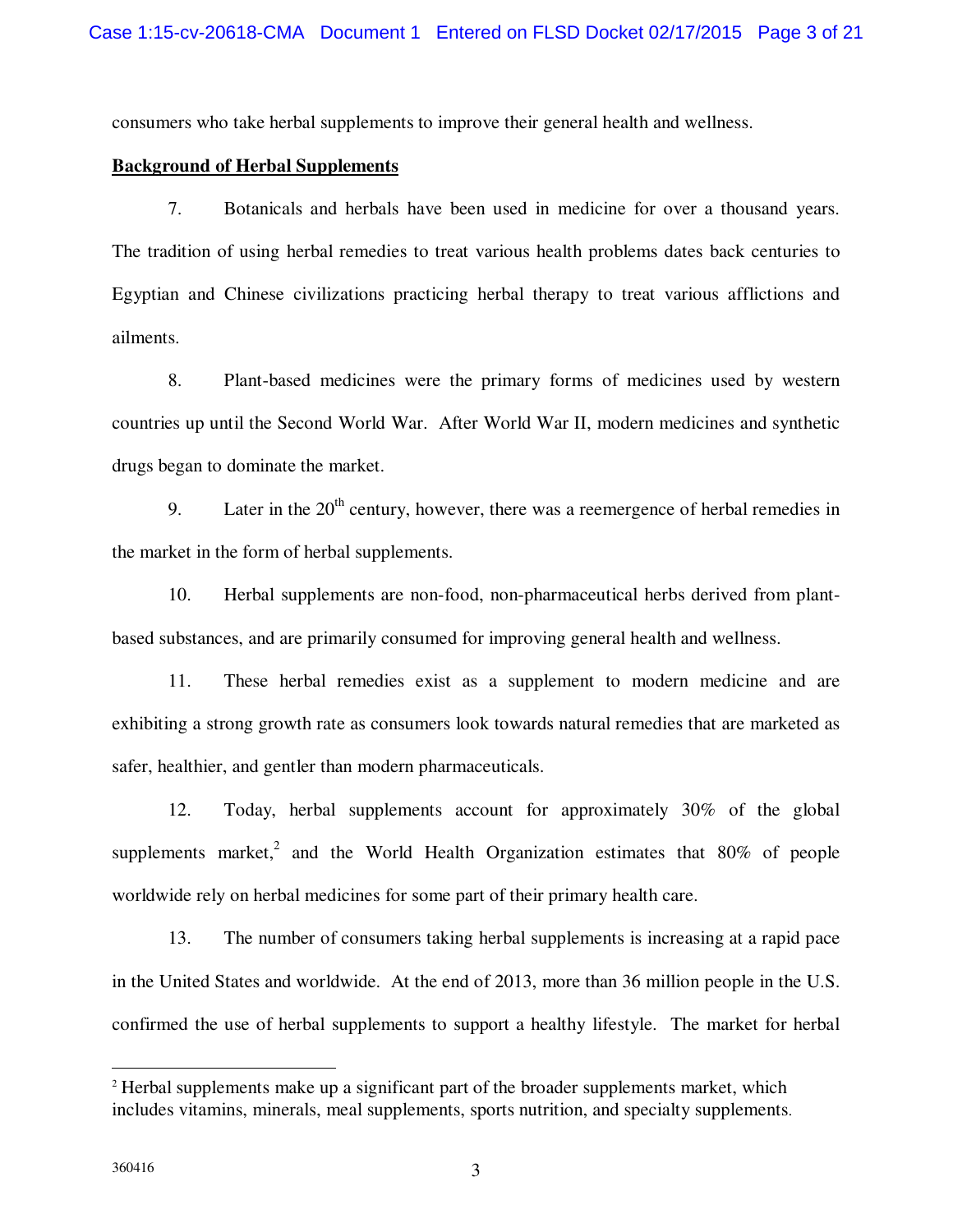consumers who take herbal supplements to improve their general health and wellness.

## **Background of Herbal Supplements**

7. Botanicals and herbals have been used in medicine for over a thousand years. The tradition of using herbal remedies to treat various health problems dates back centuries to Egyptian and Chinese civilizations practicing herbal therapy to treat various afflictions and ailments.

8. Plant-based medicines were the primary forms of medicines used by western countries up until the Second World War. After World War II, modern medicines and synthetic drugs began to dominate the market.

9. Later in the  $20<sup>th</sup>$  century, however, there was a reemergence of herbal remedies in the market in the form of herbal supplements.

10. Herbal supplements are non-food, non-pharmaceutical herbs derived from plantbased substances, and are primarily consumed for improving general health and wellness.

11. These herbal remedies exist as a supplement to modern medicine and are exhibiting a strong growth rate as consumers look towards natural remedies that are marketed as safer, healthier, and gentler than modern pharmaceuticals.

12. Today, herbal supplements account for approximately 30% of the global supplements market,<sup>2</sup> and the World Health Organization estimates that 80% of people worldwide rely on herbal medicines for some part of their primary health care.

13. The number of consumers taking herbal supplements is increasing at a rapid pace in the United States and worldwide. At the end of 2013, more than 36 million people in the U.S. confirmed the use of herbal supplements to support a healthy lifestyle. The market for herbal

<sup>&</sup>lt;sup>2</sup> Herbal supplements make up a significant part of the broader supplements market, which includes vitamins, minerals, meal supplements, sports nutrition, and specialty supplements.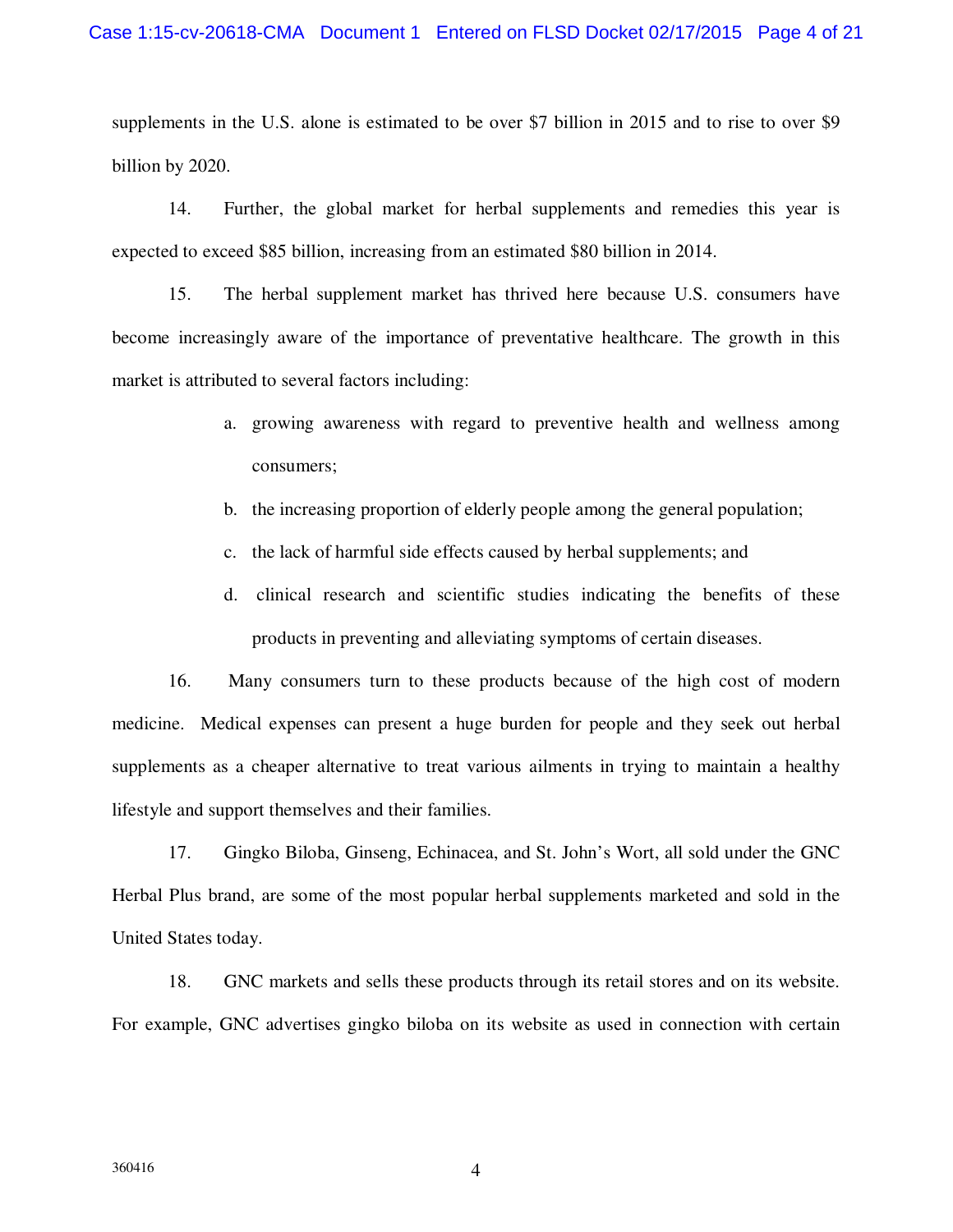supplements in the U.S. alone is estimated to be over \$7 billion in 2015 and to rise to over \$9 billion by 2020.

14. Further, the global market for herbal supplements and remedies this year is expected to exceed \$85 billion, increasing from an estimated \$80 billion in 2014.

15. The herbal supplement market has thrived here because U.S. consumers have become increasingly aware of the importance of preventative healthcare. The growth in this market is attributed to several factors including:

- a. growing awareness with regard to preventive health and wellness among consumers;
- b. the increasing proportion of elderly people among the general population;
- c. the lack of harmful side effects caused by herbal supplements; and
- d. clinical research and scientific studies indicating the benefits of these products in preventing and alleviating symptoms of certain diseases.

16. Many consumers turn to these products because of the high cost of modern medicine. Medical expenses can present a huge burden for people and they seek out herbal supplements as a cheaper alternative to treat various ailments in trying to maintain a healthy lifestyle and support themselves and their families.

17. Gingko Biloba, Ginseng, Echinacea, and St. John's Wort, all sold under the GNC Herbal Plus brand, are some of the most popular herbal supplements marketed and sold in the United States today.

18. GNC markets and sells these products through its retail stores and on its website. For example, GNC advertises gingko biloba on its website as used in connection with certain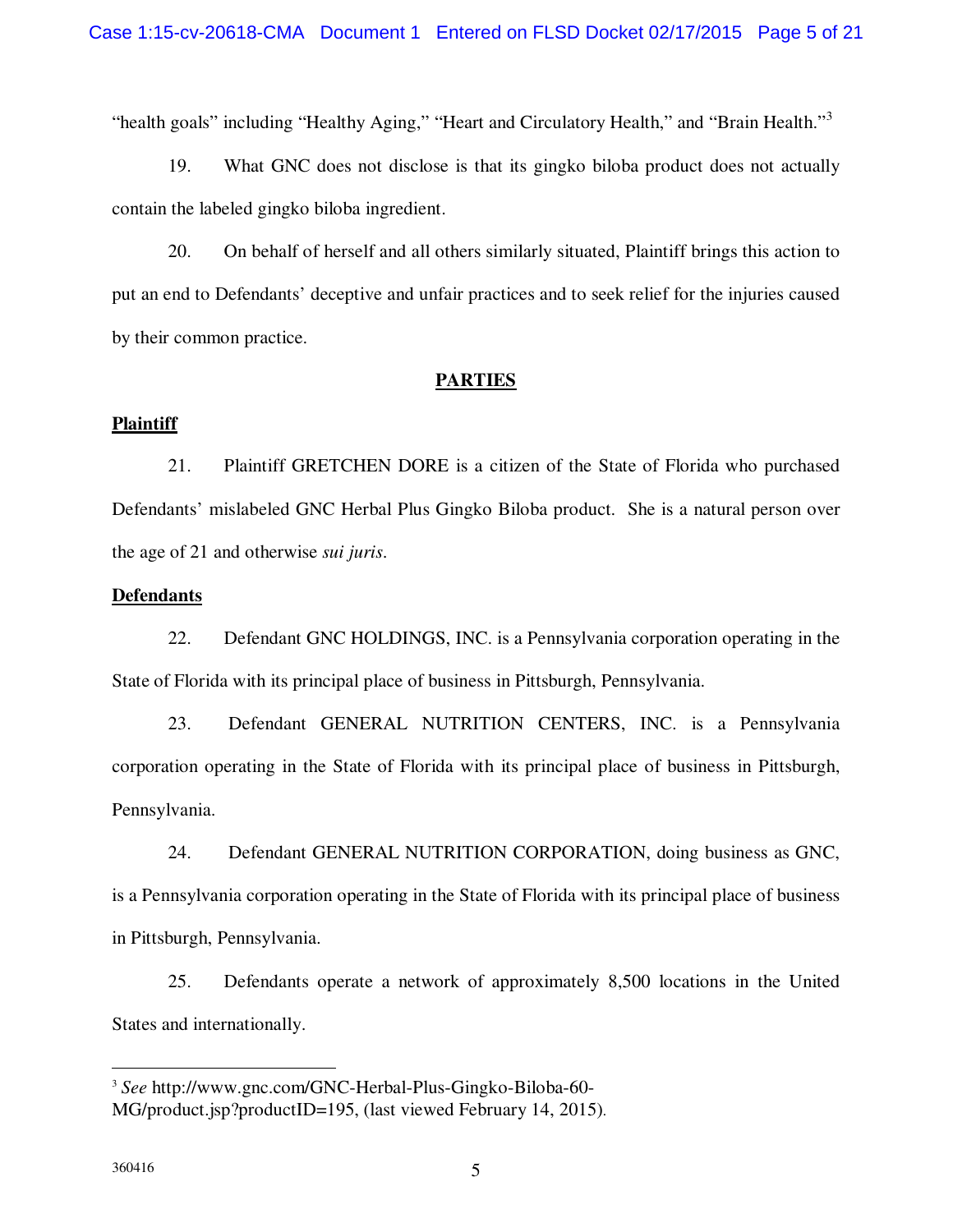"health goals" including "Healthy Aging," "Heart and Circulatory Health," and "Brain Health."<sup>3</sup>

19. What GNC does not disclose is that its gingko biloba product does not actually contain the labeled gingko biloba ingredient.

20. On behalf of herself and all others similarly situated, Plaintiff brings this action to put an end to Defendants' deceptive and unfair practices and to seek relief for the injuries caused by their common practice.

#### **PARTIES**

#### **Plaintiff**

21. Plaintiff GRETCHEN DORE is a citizen of the State of Florida who purchased Defendants' mislabeled GNC Herbal Plus Gingko Biloba product. She is a natural person over the age of 21 and otherwise *sui juris*.

#### **Defendants**

22. Defendant GNC HOLDINGS, INC. is a Pennsylvania corporation operating in the State of Florida with its principal place of business in Pittsburgh, Pennsylvania.

23. Defendant GENERAL NUTRITION CENTERS, INC. is a Pennsylvania corporation operating in the State of Florida with its principal place of business in Pittsburgh, Pennsylvania.

24. Defendant GENERAL NUTRITION CORPORATION, doing business as GNC, is a Pennsylvania corporation operating in the State of Florida with its principal place of business in Pittsburgh, Pennsylvania.

25. Defendants operate a network of approximately 8,500 locations in the United States and internationally.

<sup>3</sup> *See* http://www.gnc.com/GNC-Herbal-Plus-Gingko-Biloba-60- MG/product.jsp?productID=195, (last viewed February 14, 2015).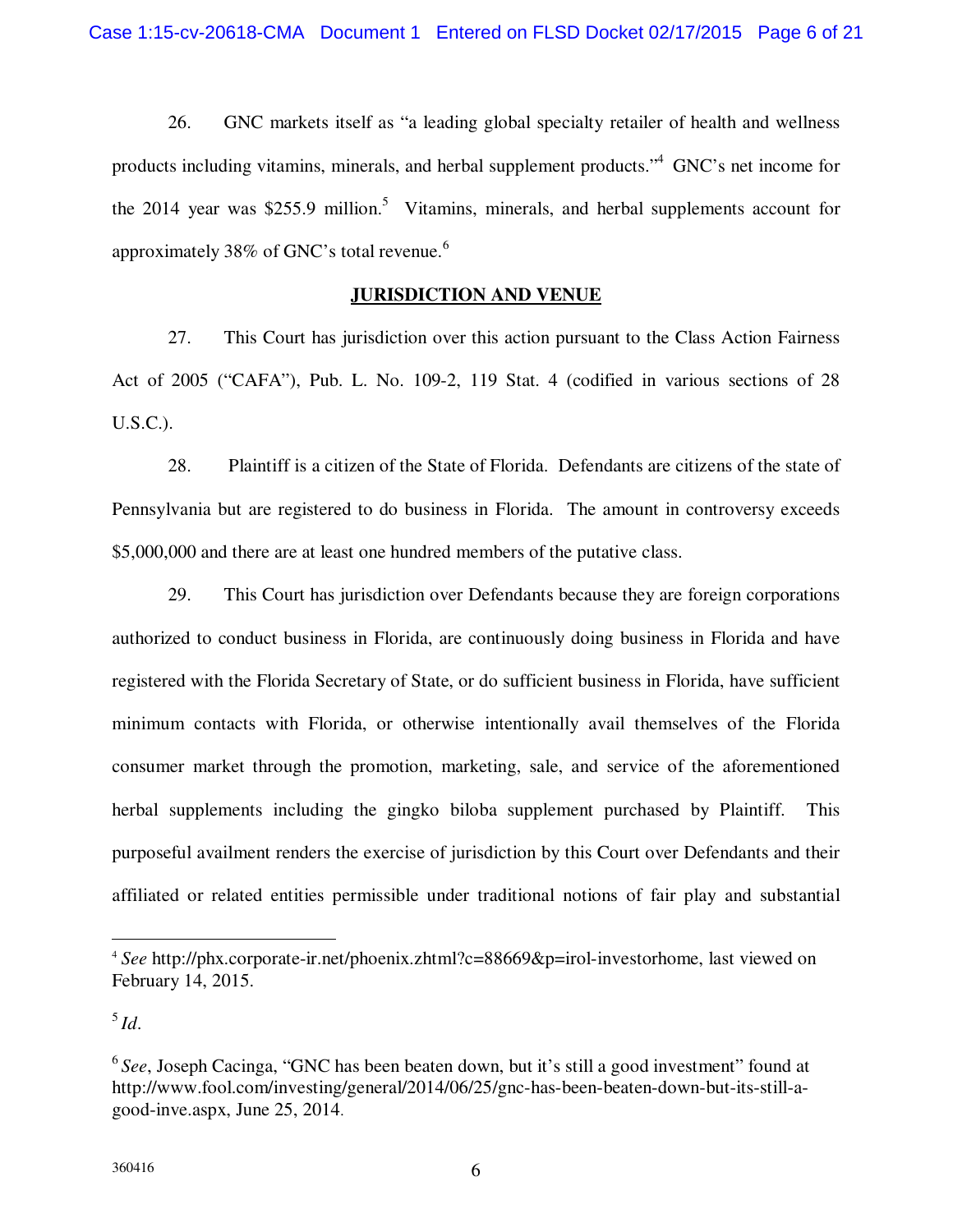26. GNC markets itself as "a leading global specialty retailer of health and wellness products including vitamins, minerals, and herbal supplement products."<sup>4</sup>GNC's net income for the 2014 year was \$255.9 million.<sup>5</sup> Vitamins, minerals, and herbal supplements account for approximately 38% of GNC's total revenue.<sup>6</sup>

## **JURISDICTION AND VENUE**

27. This Court has jurisdiction over this action pursuant to the Class Action Fairness Act of 2005 ("CAFA"), Pub. L. No. 109-2, 119 Stat. 4 (codified in various sections of 28 U.S.C.).

28. Plaintiff is a citizen of the State of Florida. Defendants are citizens of the state of Pennsylvania but are registered to do business in Florida. The amount in controversy exceeds \$5,000,000 and there are at least one hundred members of the putative class.

29. This Court has jurisdiction over Defendants because they are foreign corporations authorized to conduct business in Florida, are continuously doing business in Florida and have registered with the Florida Secretary of State, or do sufficient business in Florida, have sufficient minimum contacts with Florida, or otherwise intentionally avail themselves of the Florida consumer market through the promotion, marketing, sale, and service of the aforementioned herbal supplements including the gingko biloba supplement purchased by Plaintiff. This purposeful availment renders the exercise of jurisdiction by this Court over Defendants and their affiliated or related entities permissible under traditional notions of fair play and substantial

<sup>&</sup>lt;sup>4</sup> See http://phx.corporate-ir.net/phoenix.zhtml?c=88669&p=irol-investorhome, last viewed on February 14, 2015.

<sup>5</sup>*Id*.

<sup>&</sup>lt;sup>6</sup> See, Joseph Cacinga, "GNC has been beaten down, but it's still a good investment" found at http://www.fool.com/investing/general/2014/06/25/gnc-has-been-beaten-down-but-its-still-agood-inve.aspx, June 25, 2014.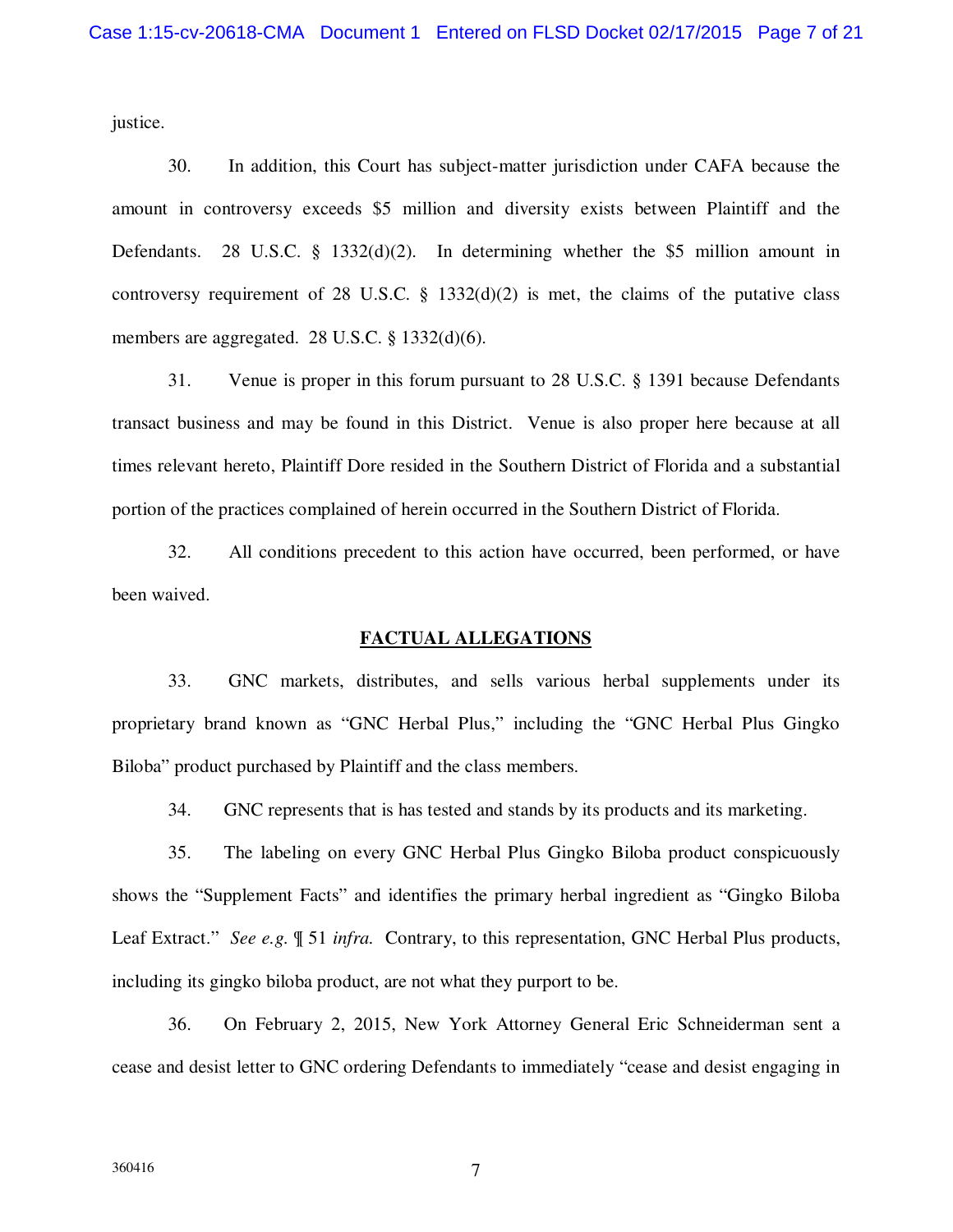justice.

30. In addition, this Court has subject-matter jurisdiction under CAFA because the amount in controversy exceeds \$5 million and diversity exists between Plaintiff and the Defendants. 28 U.S.C. § 1332(d)(2). In determining whether the \$5 million amount in controversy requirement of 28 U.S.C.  $\S$  1332(d)(2) is met, the claims of the putative class members are aggregated. 28 U.S.C. § 1332(d)(6).

31. Venue is proper in this forum pursuant to 28 U.S.C. § 1391 because Defendants transact business and may be found in this District. Venue is also proper here because at all times relevant hereto, Plaintiff Dore resided in the Southern District of Florida and a substantial portion of the practices complained of herein occurred in the Southern District of Florida.

32. All conditions precedent to this action have occurred, been performed, or have been waived.

#### **FACTUAL ALLEGATIONS**

33. GNC markets, distributes, and sells various herbal supplements under its proprietary brand known as "GNC Herbal Plus," including the "GNC Herbal Plus Gingko Biloba" product purchased by Plaintiff and the class members.

34. GNC represents that is has tested and stands by its products and its marketing.

35. The labeling on every GNC Herbal Plus Gingko Biloba product conspicuously shows the "Supplement Facts" and identifies the primary herbal ingredient as "Gingko Biloba Leaf Extract." *See e.g.* ¶ 51 *infra.* Contrary, to this representation, GNC Herbal Plus products, including its gingko biloba product, are not what they purport to be.

36. On February 2, 2015, New York Attorney General Eric Schneiderman sent a cease and desist letter to GNC ordering Defendants to immediately "cease and desist engaging in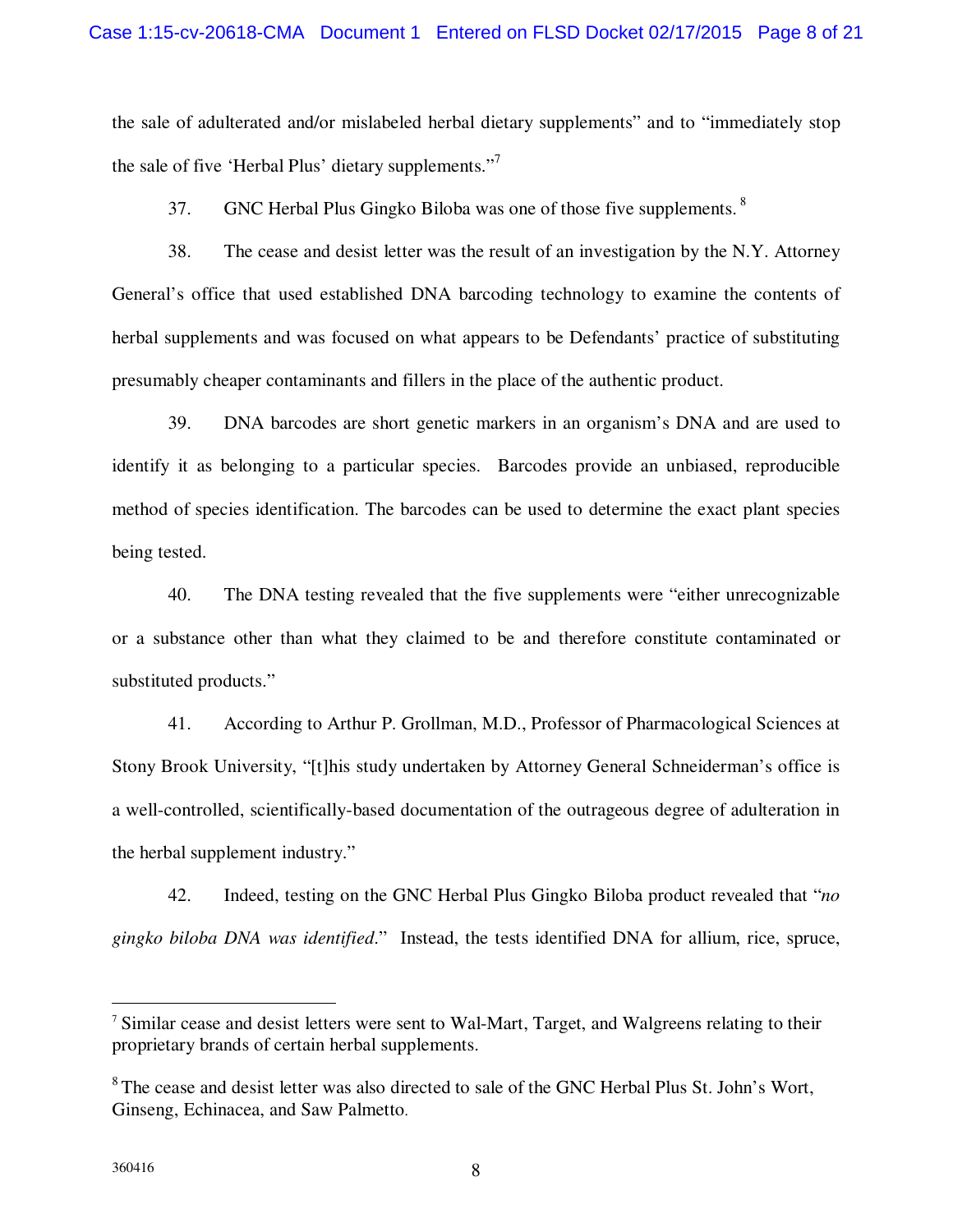the sale of adulterated and/or mislabeled herbal dietary supplements" and to "immediately stop the sale of five 'Herbal Plus' dietary supplements."<sup>7</sup>

37. GNC Herbal Plus Gingko Biloba was one of those five supplements.<sup>8</sup>

38. The cease and desist letter was the result of an investigation by the N.Y. Attorney General's office that used established DNA barcoding technology to examine the contents of herbal supplements and was focused on what appears to be Defendants' practice of substituting presumably cheaper contaminants and fillers in the place of the authentic product.

39. DNA barcodes are short genetic markers in an organism's DNA and are used to identify it as belonging to a particular species. Barcodes provide an unbiased, reproducible method of species identification. The barcodes can be used to determine the exact plant species being tested.

40. The DNA testing revealed that the five supplements were "either unrecognizable or a substance other than what they claimed to be and therefore constitute contaminated or substituted products."

41. According to Arthur P. Grollman, M.D., Professor of Pharmacological Sciences at Stony Brook University, "[t]his study undertaken by Attorney General Schneiderman's office is a well-controlled, scientifically-based documentation of the outrageous degree of adulteration in the herbal supplement industry."

42. Indeed, testing on the GNC Herbal Plus Gingko Biloba product revealed that "*no gingko biloba DNA was identified*." Instead, the tests identified DNA for allium, rice, spruce,

<sup>&</sup>lt;sup>7</sup> Similar cease and desist letters were sent to Wal-Mart, Target, and Walgreens relating to their proprietary brands of certain herbal supplements.

<sup>&</sup>lt;sup>8</sup>The cease and desist letter was also directed to sale of the GNC Herbal Plus St. John's Wort, Ginseng, Echinacea, and Saw Palmetto.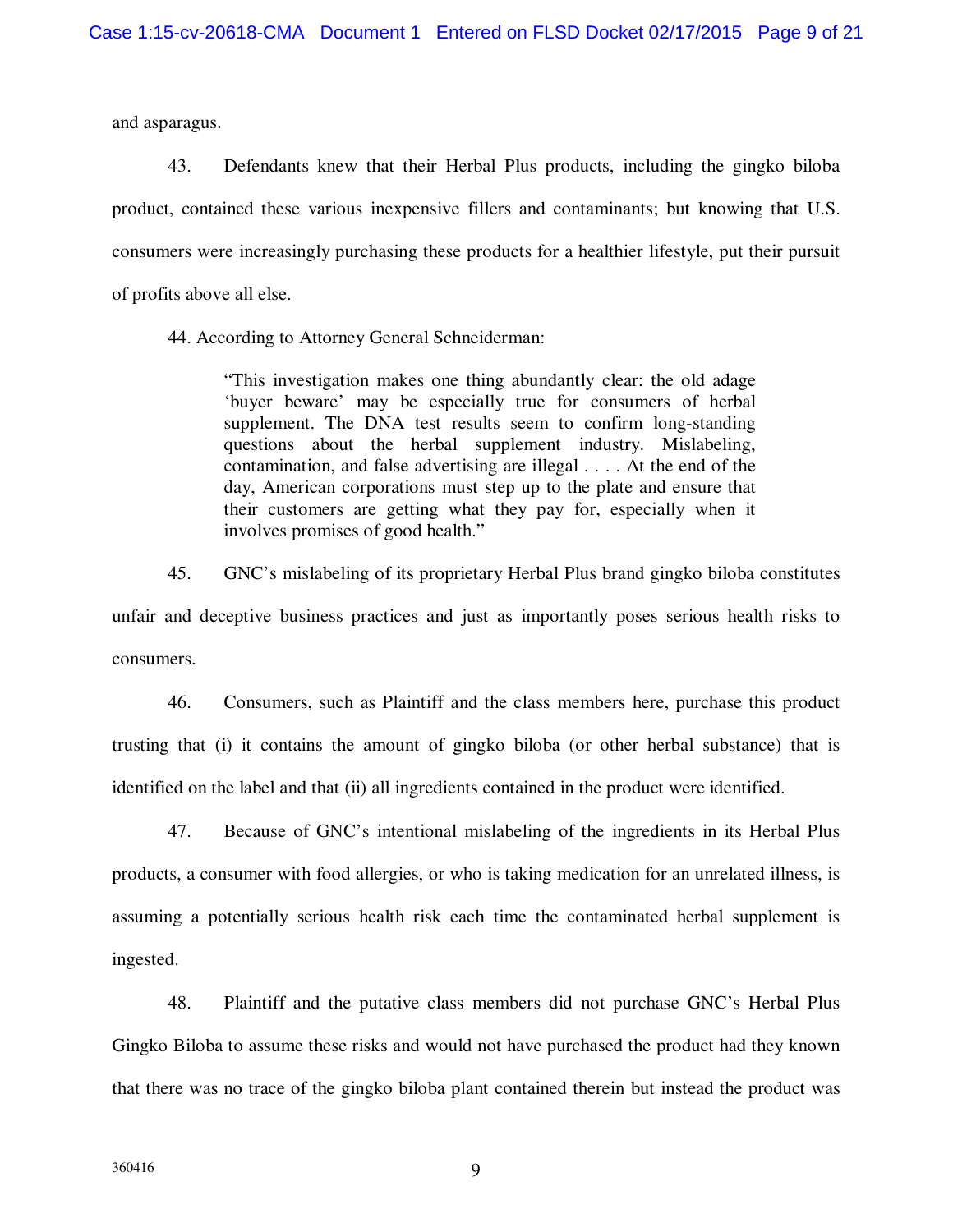and asparagus.

43. Defendants knew that their Herbal Plus products, including the gingko biloba product, contained these various inexpensive fillers and contaminants; but knowing that U.S. consumers were increasingly purchasing these products for a healthier lifestyle, put their pursuit of profits above all else.

44. According to Attorney General Schneiderman:

"This investigation makes one thing abundantly clear: the old adage 'buyer beware' may be especially true for consumers of herbal supplement. The DNA test results seem to confirm long-standing questions about the herbal supplement industry. Mislabeling, contamination, and false advertising are illegal . . . . At the end of the day, American corporations must step up to the plate and ensure that their customers are getting what they pay for, especially when it involves promises of good health."

45. GNC's mislabeling of its proprietary Herbal Plus brand gingko biloba constitutes unfair and deceptive business practices and just as importantly poses serious health risks to consumers.

46. Consumers, such as Plaintiff and the class members here, purchase this product trusting that (i) it contains the amount of gingko biloba (or other herbal substance) that is identified on the label and that (ii) all ingredients contained in the product were identified.

47. Because of GNC's intentional mislabeling of the ingredients in its Herbal Plus products, a consumer with food allergies, or who is taking medication for an unrelated illness, is assuming a potentially serious health risk each time the contaminated herbal supplement is ingested.

48. Plaintiff and the putative class members did not purchase GNC's Herbal Plus Gingko Biloba to assume these risks and would not have purchased the product had they known that there was no trace of the gingko biloba plant contained therein but instead the product was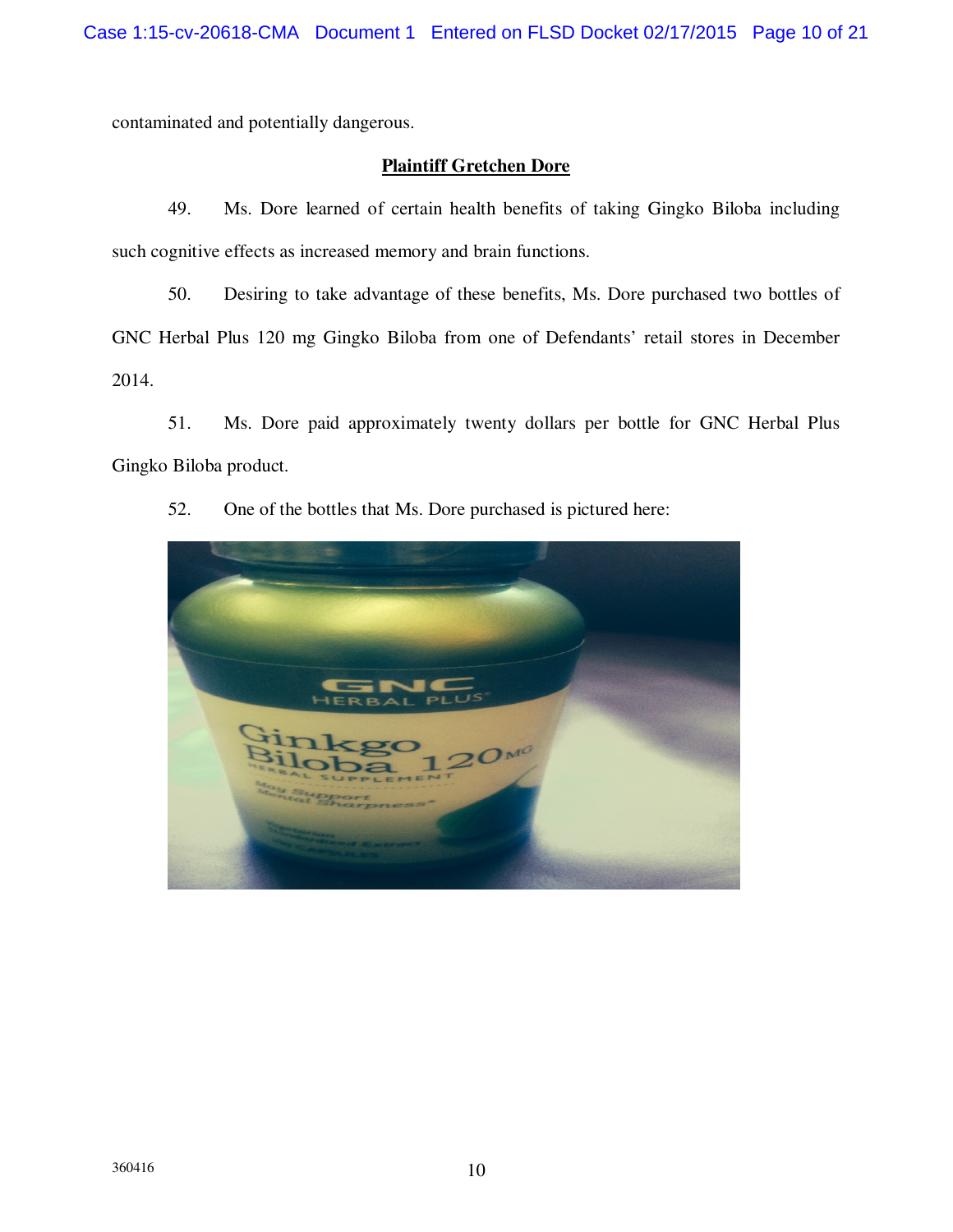contaminated and potentially dangerous.

# **Plaintiff Gretchen Dore**

49. Ms. Dore learned of certain health benefits of taking Gingko Biloba including such cognitive effects as increased memory and brain functions.

50. Desiring to take advantage of these benefits, Ms. Dore purchased two bottles of GNC Herbal Plus 120 mg Gingko Biloba from one of Defendants' retail stores in December 2014.

51. Ms. Dore paid approximately twenty dollars per bottle for GNC Herbal Plus Gingko Biloba product.



52. One of the bottles that Ms. Dore purchased is pictured here: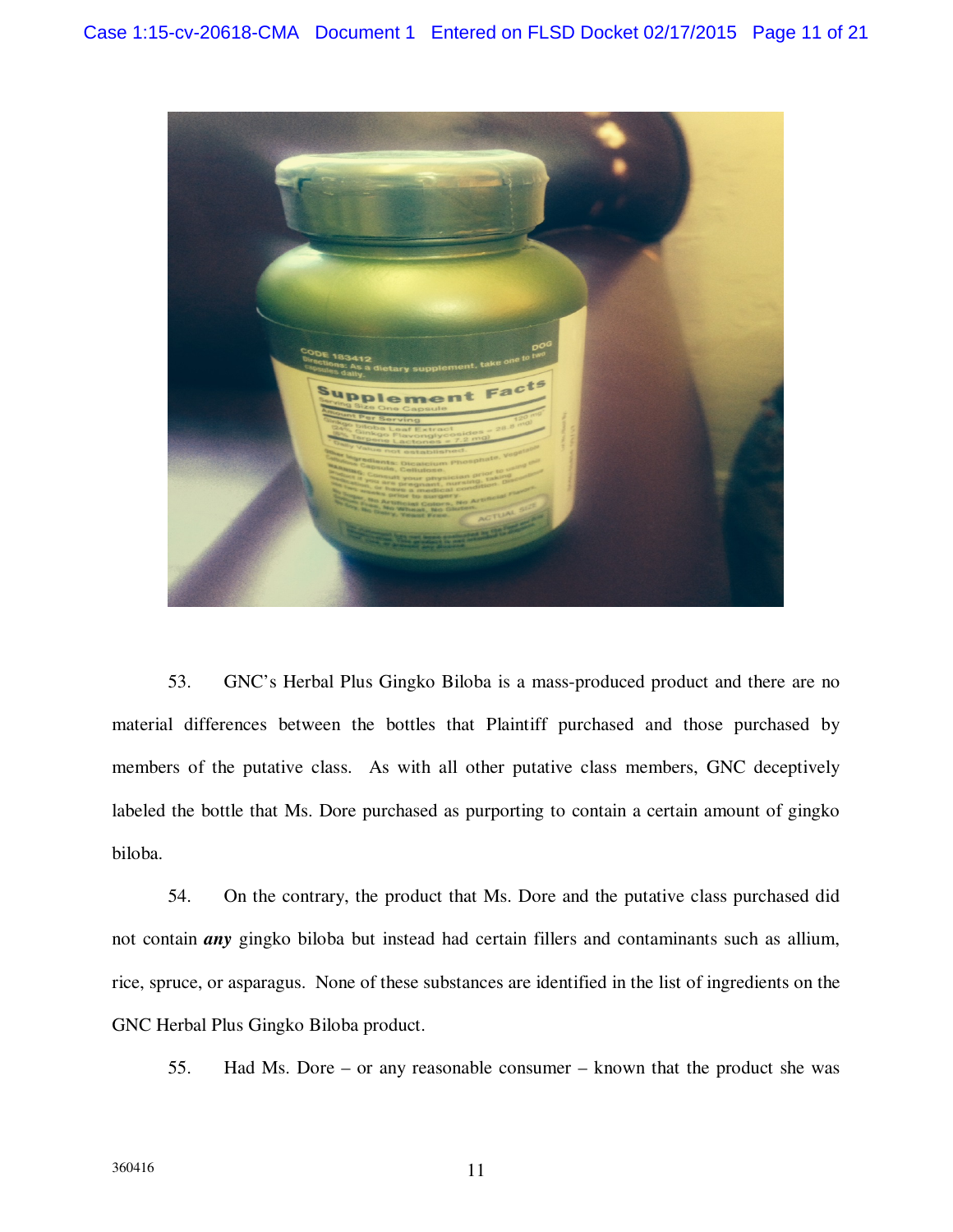

53. GNC's Herbal Plus Gingko Biloba is a mass-produced product and there are no material differences between the bottles that Plaintiff purchased and those purchased by members of the putative class. As with all other putative class members, GNC deceptively labeled the bottle that Ms. Dore purchased as purporting to contain a certain amount of gingko biloba.

54. On the contrary, the product that Ms. Dore and the putative class purchased did not contain *any* gingko biloba but instead had certain fillers and contaminants such as allium, rice, spruce, or asparagus. None of these substances are identified in the list of ingredients on the GNC Herbal Plus Gingko Biloba product.

55. Had Ms. Dore – or any reasonable consumer – known that the product she was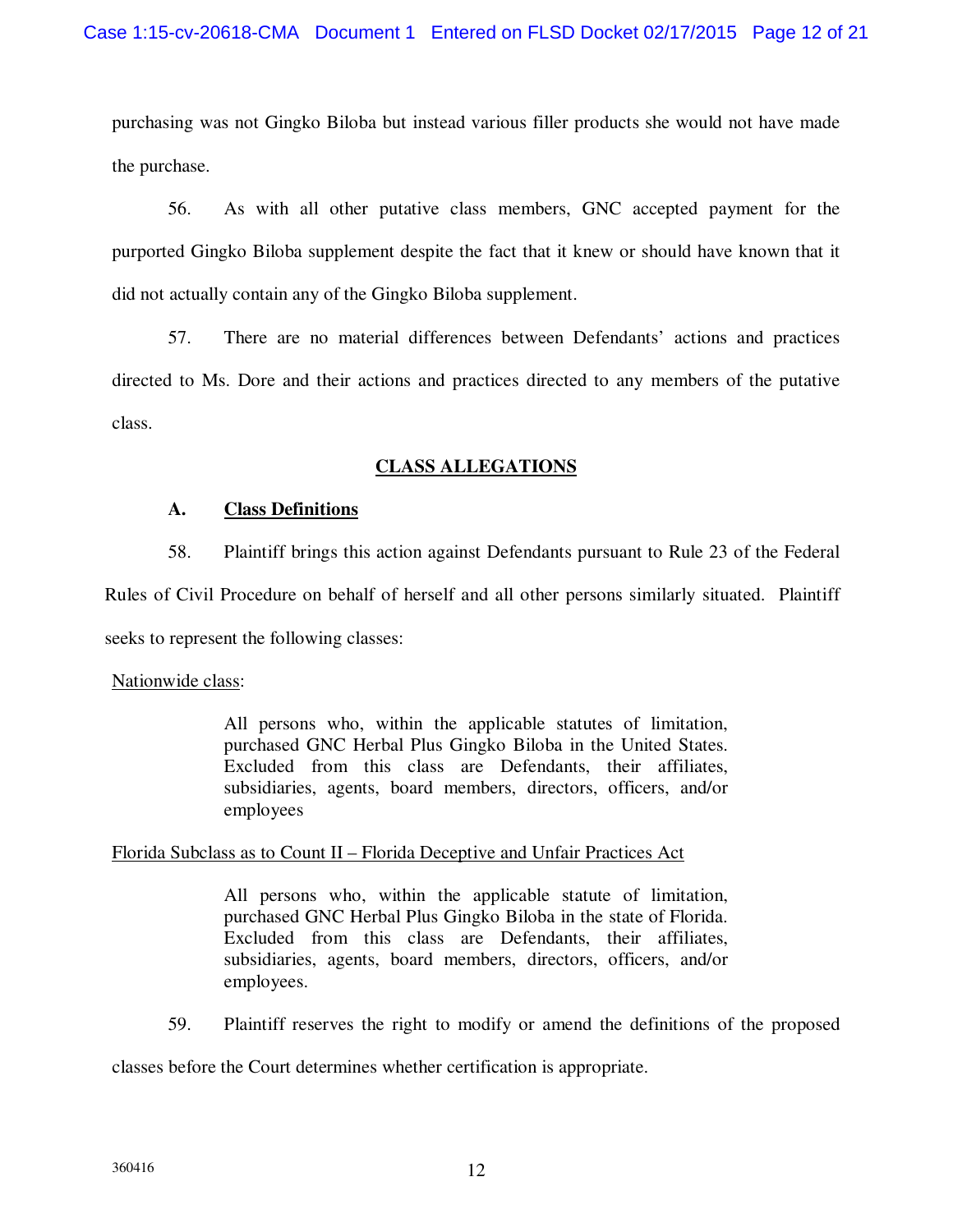purchasing was not Gingko Biloba but instead various filler products she would not have made the purchase.

56. As with all other putative class members, GNC accepted payment for the purported Gingko Biloba supplement despite the fact that it knew or should have known that it did not actually contain any of the Gingko Biloba supplement.

57. There are no material differences between Defendants' actions and practices directed to Ms. Dore and their actions and practices directed to any members of the putative class.

# **CLASS ALLEGATIONS**

# **A. Class Definitions**

58. Plaintiff brings this action against Defendants pursuant to Rule 23 of the Federal

Rules of Civil Procedure on behalf of herself and all other persons similarly situated. Plaintiff

seeks to represent the following classes:

## Nationwide class:

All persons who, within the applicable statutes of limitation, purchased GNC Herbal Plus Gingko Biloba in the United States. Excluded from this class are Defendants, their affiliates, subsidiaries, agents, board members, directors, officers, and/or employees

## Florida Subclass as to Count II – Florida Deceptive and Unfair Practices Act

All persons who, within the applicable statute of limitation, purchased GNC Herbal Plus Gingko Biloba in the state of Florida. Excluded from this class are Defendants, their affiliates, subsidiaries, agents, board members, directors, officers, and/or employees.

59. Plaintiff reserves the right to modify or amend the definitions of the proposed

classes before the Court determines whether certification is appropriate.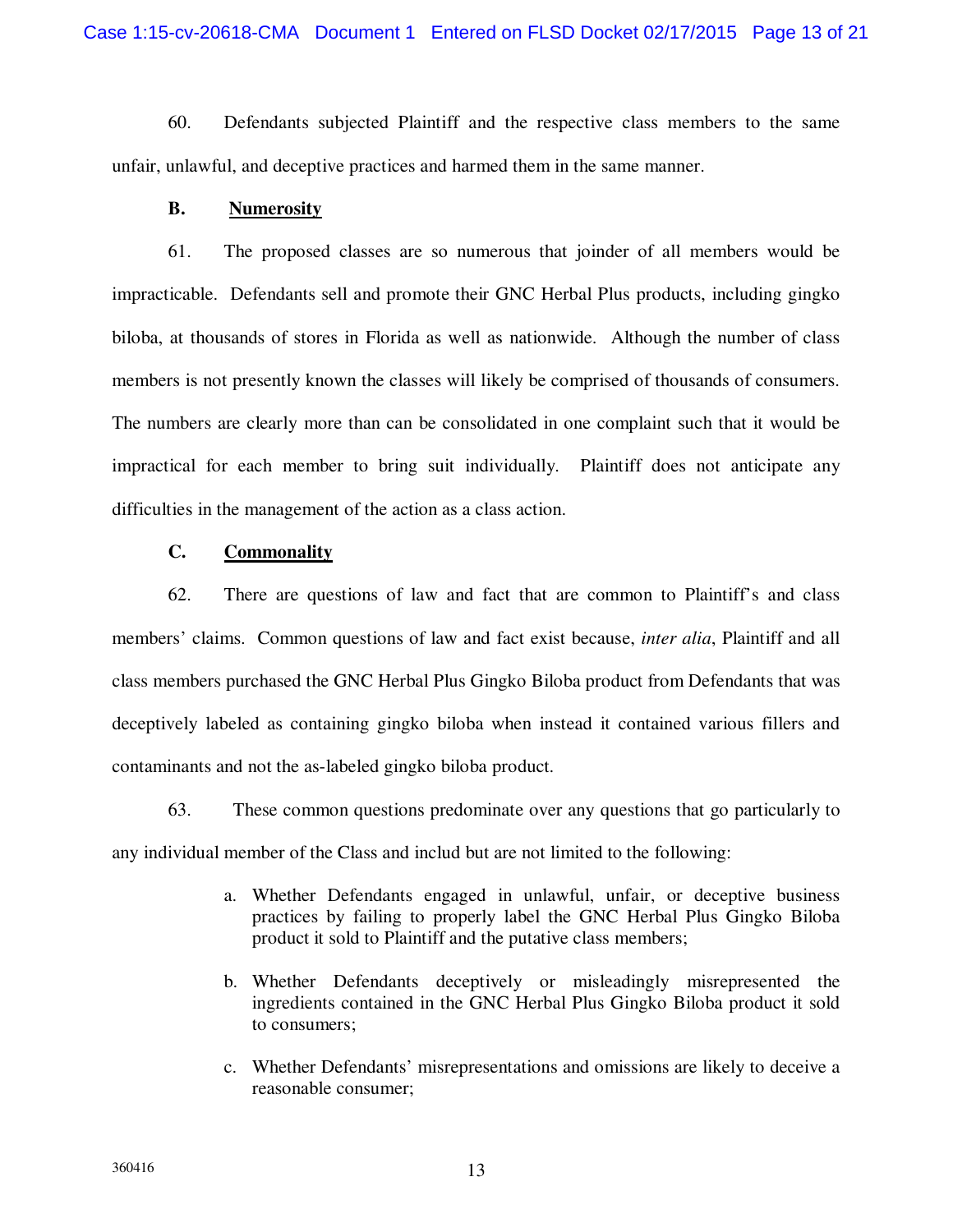60. Defendants subjected Plaintiff and the respective class members to the same unfair, unlawful, and deceptive practices and harmed them in the same manner.

### **B. Numerosity**

61. The proposed classes are so numerous that joinder of all members would be impracticable. Defendants sell and promote their GNC Herbal Plus products, including gingko biloba, at thousands of stores in Florida as well as nationwide. Although the number of class members is not presently known the classes will likely be comprised of thousands of consumers. The numbers are clearly more than can be consolidated in one complaint such that it would be impractical for each member to bring suit individually. Plaintiff does not anticipate any difficulties in the management of the action as a class action.

## **C. Commonality**

62. There are questions of law and fact that are common to Plaintiff's and class members' claims. Common questions of law and fact exist because, *inter alia*, Plaintiff and all class members purchased the GNC Herbal Plus Gingko Biloba product from Defendants that was deceptively labeled as containing gingko biloba when instead it contained various fillers and contaminants and not the as-labeled gingko biloba product.

63. These common questions predominate over any questions that go particularly to any individual member of the Class and includ but are not limited to the following:

- a. Whether Defendants engaged in unlawful, unfair, or deceptive business practices by failing to properly label the GNC Herbal Plus Gingko Biloba product it sold to Plaintiff and the putative class members;
- b. Whether Defendants deceptively or misleadingly misrepresented the ingredients contained in the GNC Herbal Plus Gingko Biloba product it sold to consumers;
- c. Whether Defendants' misrepresentations and omissions are likely to deceive a reasonable consumer;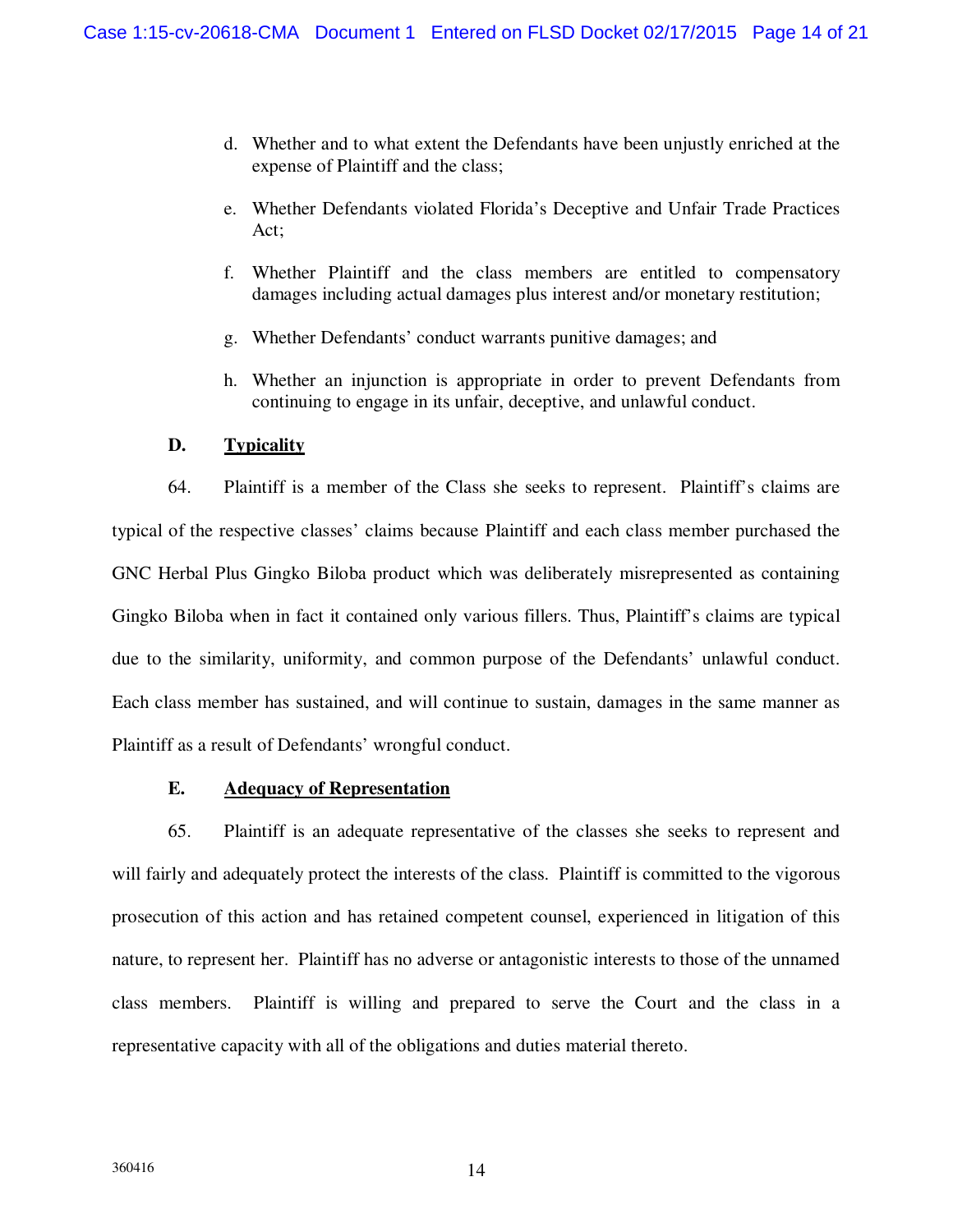- d. Whether and to what extent the Defendants have been unjustly enriched at the expense of Plaintiff and the class;
- e. Whether Defendants violated Florida's Deceptive and Unfair Trade Practices Act;
- f. Whether Plaintiff and the class members are entitled to compensatory damages including actual damages plus interest and/or monetary restitution;
- g. Whether Defendants' conduct warrants punitive damages; and
- h. Whether an injunction is appropriate in order to prevent Defendants from continuing to engage in its unfair, deceptive, and unlawful conduct.

### **D. Typicality**

64. Plaintiff is a member of the Class she seeks to represent. Plaintiff's claims are typical of the respective classes' claims because Plaintiff and each class member purchased the GNC Herbal Plus Gingko Biloba product which was deliberately misrepresented as containing Gingko Biloba when in fact it contained only various fillers. Thus, Plaintiff's claims are typical due to the similarity, uniformity, and common purpose of the Defendants' unlawful conduct. Each class member has sustained, and will continue to sustain, damages in the same manner as Plaintiff as a result of Defendants' wrongful conduct.

### **E. Adequacy of Representation**

65. Plaintiff is an adequate representative of the classes she seeks to represent and will fairly and adequately protect the interests of the class. Plaintiff is committed to the vigorous prosecution of this action and has retained competent counsel, experienced in litigation of this nature, to represent her. Plaintiff has no adverse or antagonistic interests to those of the unnamed class members. Plaintiff is willing and prepared to serve the Court and the class in a representative capacity with all of the obligations and duties material thereto.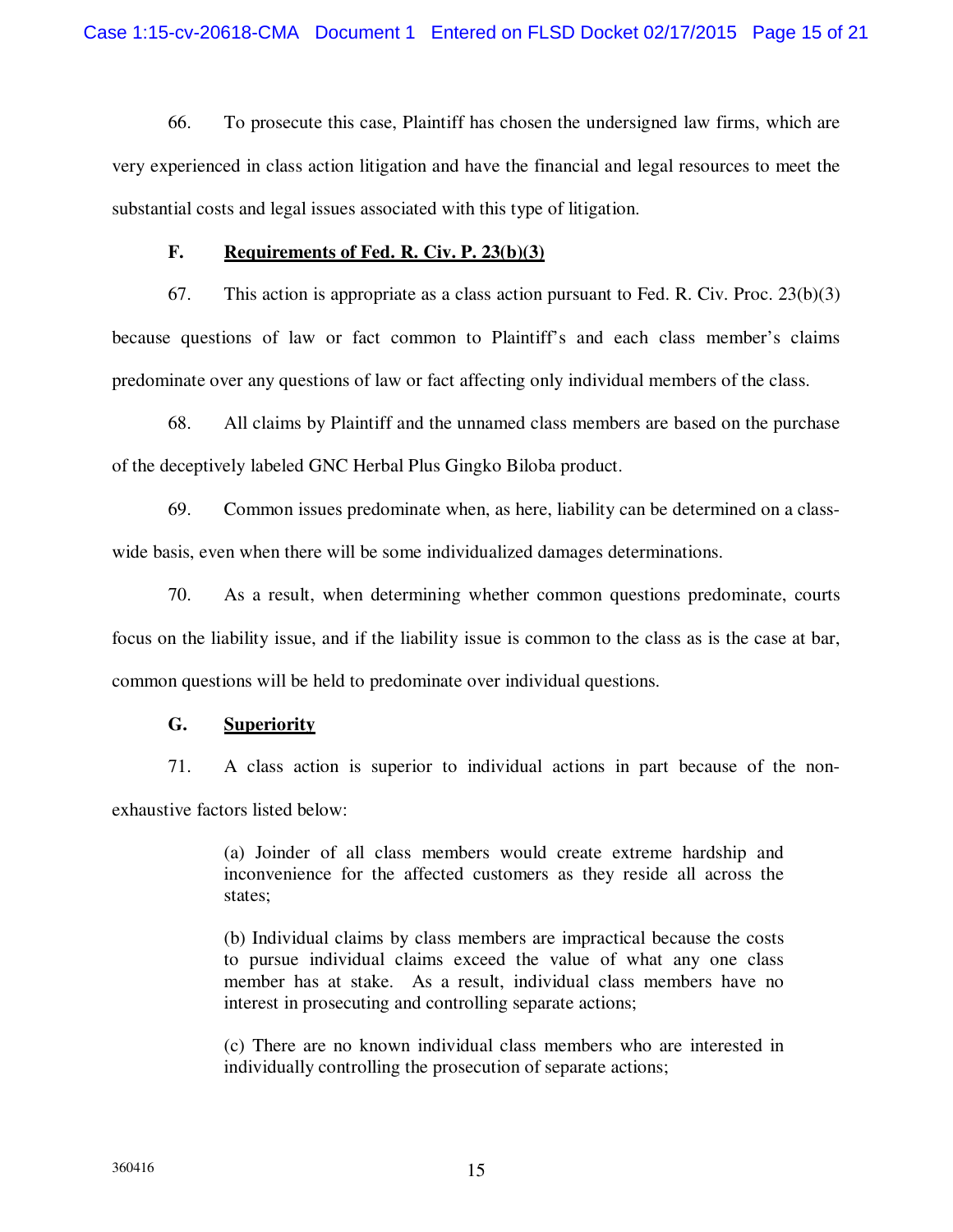66. To prosecute this case, Plaintiff has chosen the undersigned law firms, which are very experienced in class action litigation and have the financial and legal resources to meet the substantial costs and legal issues associated with this type of litigation.

#### **F. Requirements of Fed. R. Civ. P. 23(b)(3)**

67. This action is appropriate as a class action pursuant to Fed. R. Civ. Proc. 23(b)(3) because questions of law or fact common to Plaintiff's and each class member's claims predominate over any questions of law or fact affecting only individual members of the class.

68. All claims by Plaintiff and the unnamed class members are based on the purchase of the deceptively labeled GNC Herbal Plus Gingko Biloba product.

69. Common issues predominate when, as here, liability can be determined on a classwide basis, even when there will be some individualized damages determinations.

70. As a result, when determining whether common questions predominate, courts focus on the liability issue, and if the liability issue is common to the class as is the case at bar, common questions will be held to predominate over individual questions.

## **G. Superiority**

71. A class action is superior to individual actions in part because of the nonexhaustive factors listed below:

> (a) Joinder of all class members would create extreme hardship and inconvenience for the affected customers as they reside all across the states;

> (b) Individual claims by class members are impractical because the costs to pursue individual claims exceed the value of what any one class member has at stake. As a result, individual class members have no interest in prosecuting and controlling separate actions;

> (c) There are no known individual class members who are interested in individually controlling the prosecution of separate actions;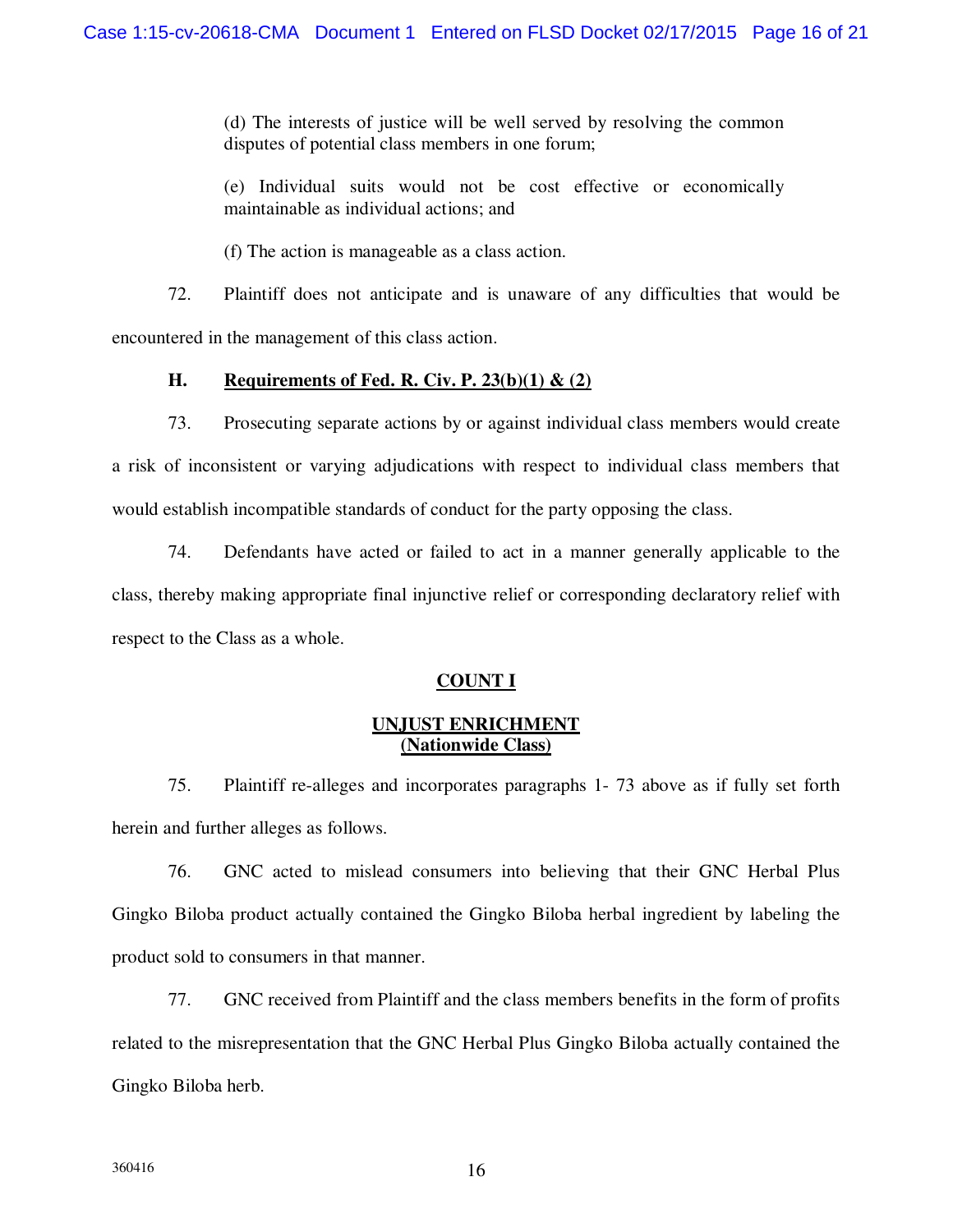(d) The interests of justice will be well served by resolving the common disputes of potential class members in one forum;

(e) Individual suits would not be cost effective or economically maintainable as individual actions; and

(f) The action is manageable as a class action.

72. Plaintiff does not anticipate and is unaware of any difficulties that would be encountered in the management of this class action.

# **H. Requirements of Fed. R. Civ. P. 23(b)(1) & (2)**

73. Prosecuting separate actions by or against individual class members would create a risk of inconsistent or varying adjudications with respect to individual class members that would establish incompatible standards of conduct for the party opposing the class.

74. Defendants have acted or failed to act in a manner generally applicable to the class, thereby making appropriate final injunctive relief or corresponding declaratory relief with respect to the Class as a whole.

# **COUNT I**

# **UNJUST ENRICHMENT (Nationwide Class)**

75. Plaintiff re-alleges and incorporates paragraphs 1- 73 above as if fully set forth herein and further alleges as follows.

76. GNC acted to mislead consumers into believing that their GNC Herbal Plus Gingko Biloba product actually contained the Gingko Biloba herbal ingredient by labeling the product sold to consumers in that manner.

77. GNC received from Plaintiff and the class members benefits in the form of profits related to the misrepresentation that the GNC Herbal Plus Gingko Biloba actually contained the Gingko Biloba herb.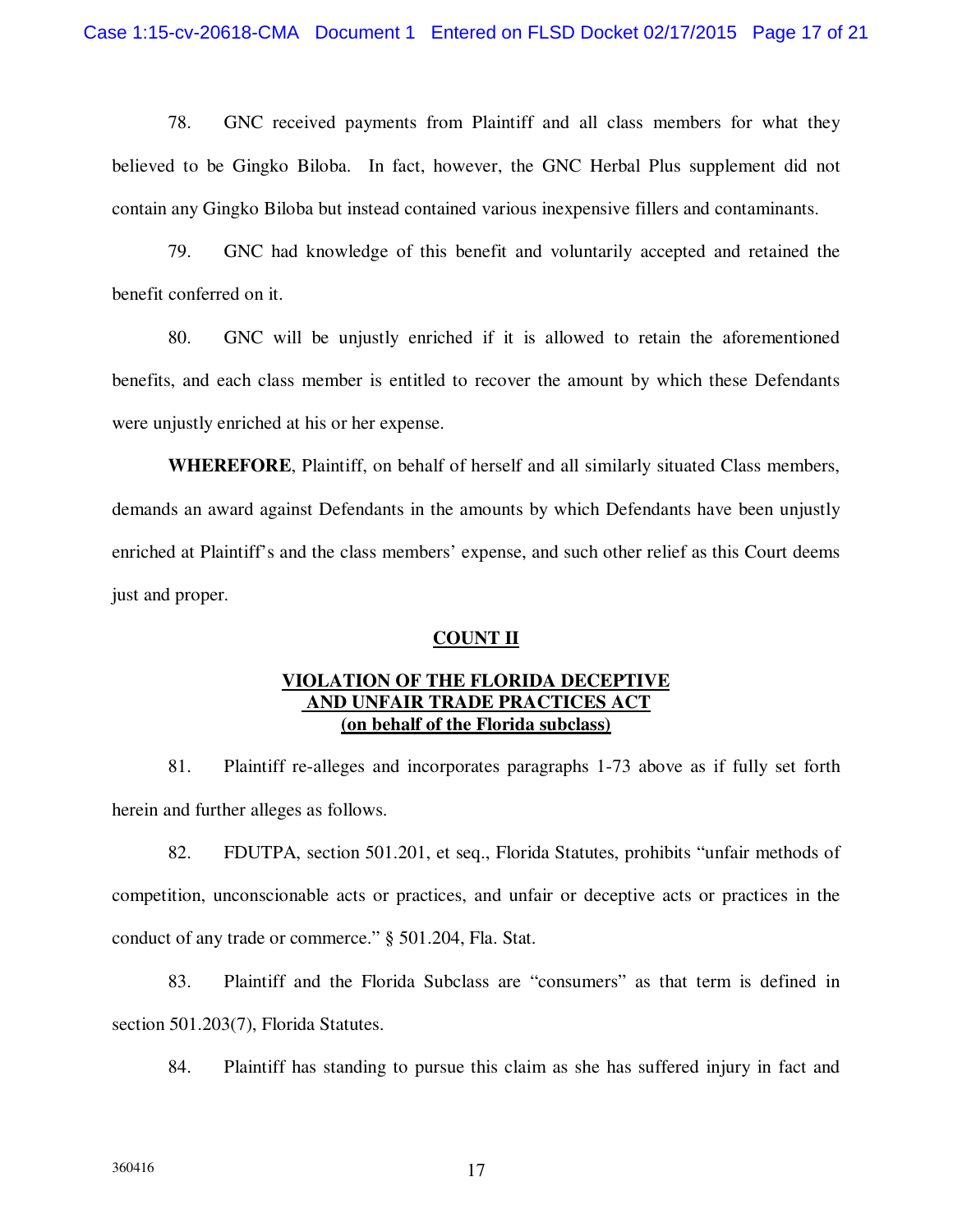78. GNC received payments from Plaintiff and all class members for what they believed to be Gingko Biloba. In fact, however, the GNC Herbal Plus supplement did not contain any Gingko Biloba but instead contained various inexpensive fillers and contaminants.

79. GNC had knowledge of this benefit and voluntarily accepted and retained the benefit conferred on it.

80. GNC will be unjustly enriched if it is allowed to retain the aforementioned benefits, and each class member is entitled to recover the amount by which these Defendants were unjustly enriched at his or her expense.

**WHEREFORE**, Plaintiff, on behalf of herself and all similarly situated Class members, demands an award against Defendants in the amounts by which Defendants have been unjustly enriched at Plaintiff's and the class members' expense, and such other relief as this Court deems just and proper.

#### **COUNT II**

## **VIOLATION OF THE FLORIDA DECEPTIVE AND UNFAIR TRADE PRACTICES ACT (on behalf of the Florida subclass)**

81. Plaintiff re-alleges and incorporates paragraphs 1-73 above as if fully set forth herein and further alleges as follows.

82. FDUTPA, section 501.201, et seq., Florida Statutes, prohibits "unfair methods of competition, unconscionable acts or practices, and unfair or deceptive acts or practices in the conduct of any trade or commerce." § 501.204, Fla. Stat.

83. Plaintiff and the Florida Subclass are "consumers" as that term is defined in section 501.203(7), Florida Statutes.

84. Plaintiff has standing to pursue this claim as she has suffered injury in fact and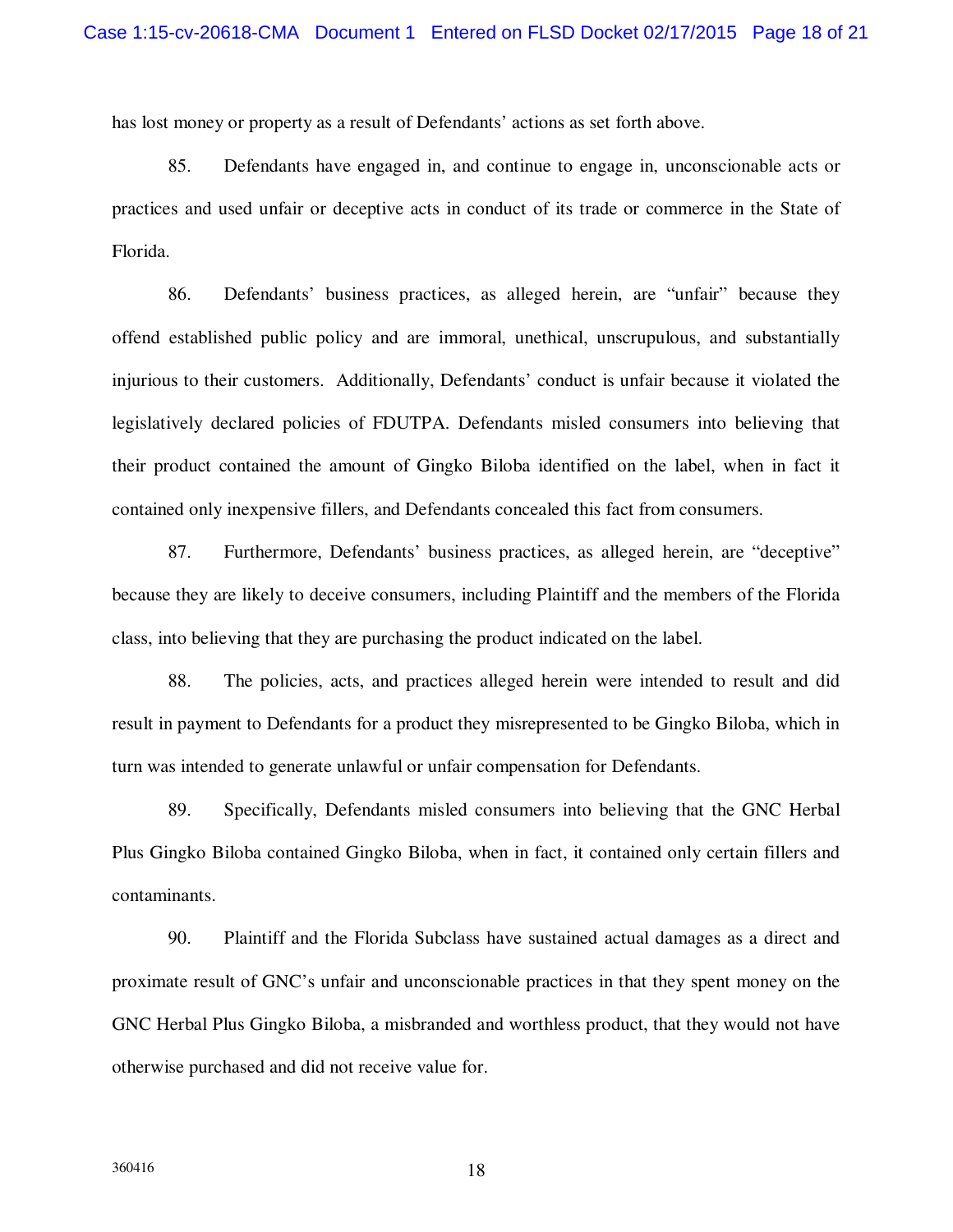has lost money or property as a result of Defendants' actions as set forth above.

85. Defendants have engaged in, and continue to engage in, unconscionable acts or practices and used unfair or deceptive acts in conduct of its trade or commerce in the State of Florida.

86. Defendants' business practices, as alleged herein, are "unfair" because they offend established public policy and are immoral, unethical, unscrupulous, and substantially injurious to their customers. Additionally, Defendants' conduct is unfair because it violated the legislatively declared policies of FDUTPA. Defendants misled consumers into believing that their product contained the amount of Gingko Biloba identified on the label, when in fact it contained only inexpensive fillers, and Defendants concealed this fact from consumers.

87. Furthermore, Defendants' business practices, as alleged herein, are "deceptive" because they are likely to deceive consumers, including Plaintiff and the members of the Florida class, into believing that they are purchasing the product indicated on the label.

88. The policies, acts, and practices alleged herein were intended to result and did result in payment to Defendants for a product they misrepresented to be Gingko Biloba, which in turn was intended to generate unlawful or unfair compensation for Defendants.

89. Specifically, Defendants misled consumers into believing that the GNC Herbal Plus Gingko Biloba contained Gingko Biloba, when in fact, it contained only certain fillers and contaminants.

90. Plaintiff and the Florida Subclass have sustained actual damages as a direct and proximate result of GNC's unfair and unconscionable practices in that they spent money on the GNC Herbal Plus Gingko Biloba, a misbranded and worthless product, that they would not have otherwise purchased and did not receive value for.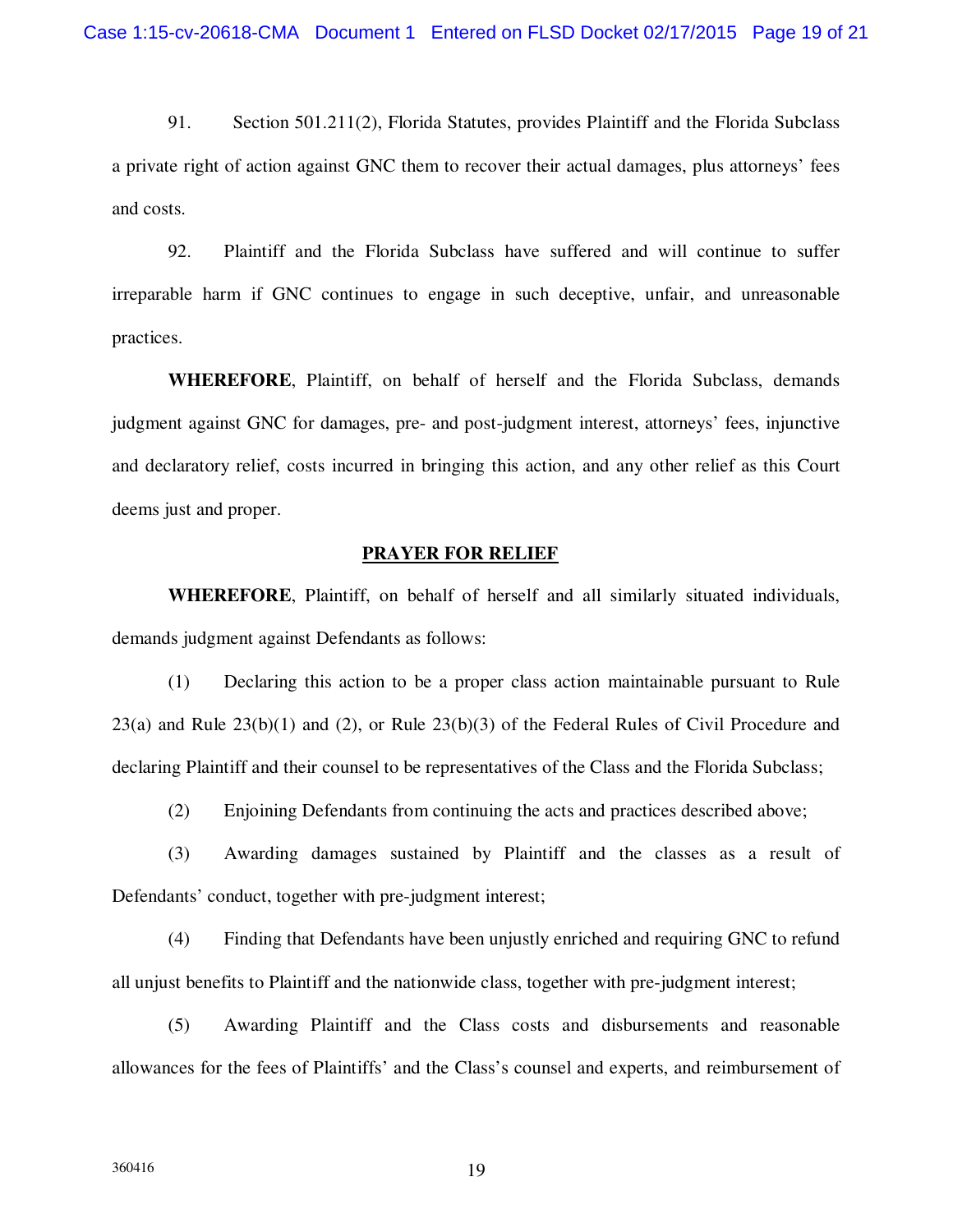91. Section 501.211(2), Florida Statutes, provides Plaintiff and the Florida Subclass a private right of action against GNC them to recover their actual damages, plus attorneys' fees and costs.

92. Plaintiff and the Florida Subclass have suffered and will continue to suffer irreparable harm if GNC continues to engage in such deceptive, unfair, and unreasonable practices.

**WHEREFORE**, Plaintiff, on behalf of herself and the Florida Subclass, demands judgment against GNC for damages, pre- and post-judgment interest, attorneys' fees, injunctive and declaratory relief, costs incurred in bringing this action, and any other relief as this Court deems just and proper.

#### **PRAYER FOR RELIEF**

**WHEREFORE**, Plaintiff, on behalf of herself and all similarly situated individuals, demands judgment against Defendants as follows:

(1) Declaring this action to be a proper class action maintainable pursuant to Rule 23(a) and Rule  $23(b)(1)$  and (2), or Rule  $23(b)(3)$  of the Federal Rules of Civil Procedure and declaring Plaintiff and their counsel to be representatives of the Class and the Florida Subclass;

(2) Enjoining Defendants from continuing the acts and practices described above;

(3) Awarding damages sustained by Plaintiff and the classes as a result of Defendants' conduct, together with pre-judgment interest;

(4) Finding that Defendants have been unjustly enriched and requiring GNC to refund all unjust benefits to Plaintiff and the nationwide class, together with pre-judgment interest;

(5) Awarding Plaintiff and the Class costs and disbursements and reasonable allowances for the fees of Plaintiffs' and the Class's counsel and experts, and reimbursement of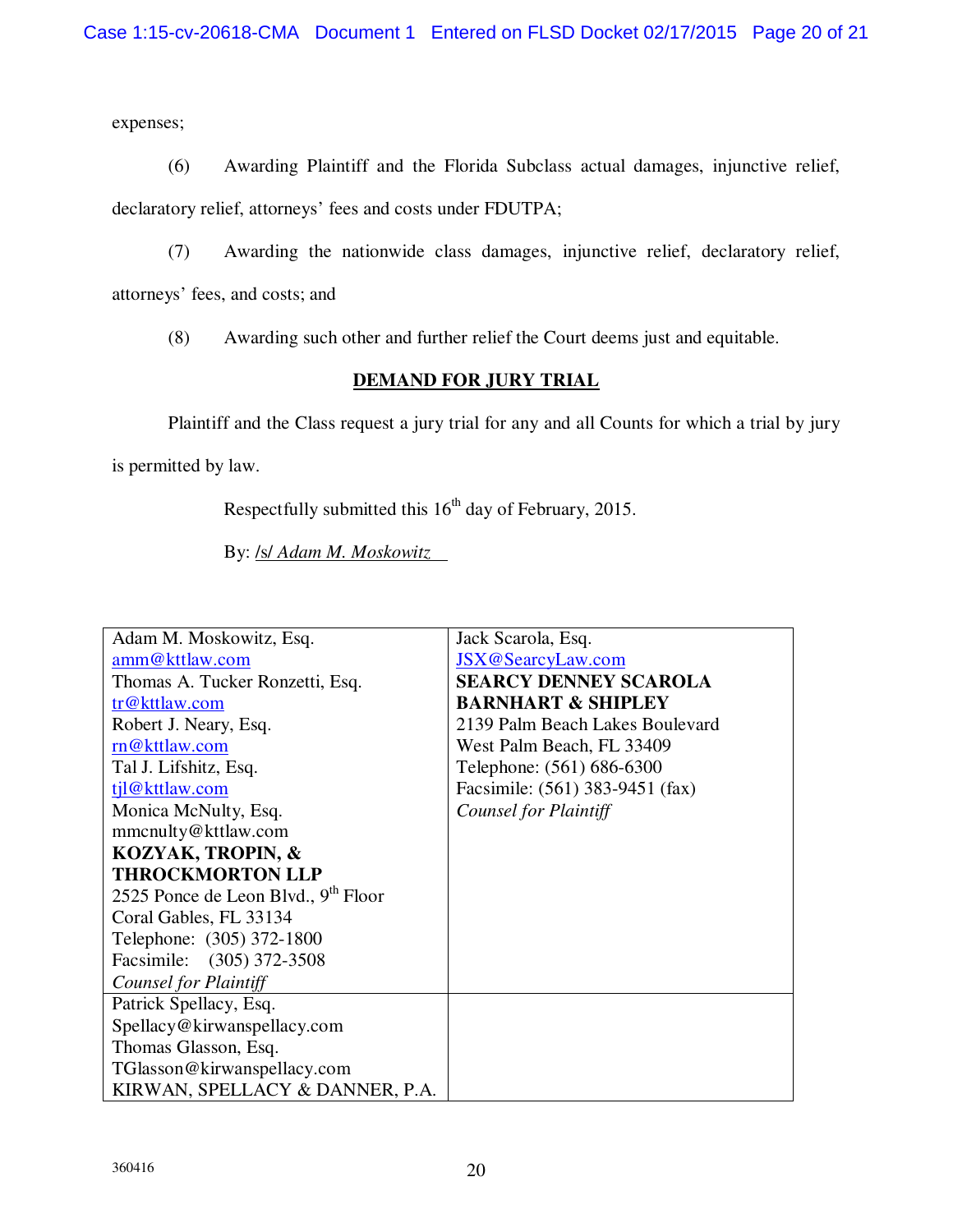expenses;

(6) Awarding Plaintiff and the Florida Subclass actual damages, injunctive relief, declaratory relief, attorneys' fees and costs under FDUTPA;

(7) Awarding the nationwide class damages, injunctive relief, declaratory relief, attorneys' fees, and costs; and

(8) Awarding such other and further relief the Court deems just and equitable.

# **DEMAND FOR JURY TRIAL**

Plaintiff and the Class request a jury trial for any and all Counts for which a trial by jury

is permitted by law.

Respectfully submitted this  $16<sup>th</sup>$  day of February, 2015.

By: /s/ *Adam M. Moskowitz*

| Adam M. Moskowitz, Esq.                         | Jack Scarola, Esq.              |
|-------------------------------------------------|---------------------------------|
| amm@kttlaw.com                                  | JSX@SearcyLaw.com               |
| Thomas A. Tucker Ronzetti, Esq.                 | <b>SEARCY DENNEY SCAROLA</b>    |
| tr@kttlaw.com                                   | <b>BARNHART &amp; SHIPLEY</b>   |
| Robert J. Neary, Esq.                           | 2139 Palm Beach Lakes Boulevard |
| rn@kttlaw.com                                   | West Palm Beach, FL 33409       |
| Tal J. Lifshitz, Esq.                           | Telephone: (561) 686-6300       |
| til@kttlaw.com                                  | Facsimile: (561) 383-9451 (fax) |
| Monica McNulty, Esq.                            | <b>Counsel for Plaintiff</b>    |
| mmcnulty@kttlaw.com                             |                                 |
| KOZYAK, TROPIN, &                               |                                 |
| <b>THROCKMORTON LLP</b>                         |                                 |
| 2525 Ponce de Leon Blvd., 9 <sup>th</sup> Floor |                                 |
| Coral Gables, FL 33134                          |                                 |
| Telephone: (305) 372-1800                       |                                 |
| Facsimile: (305) 372-3508                       |                                 |
| Counsel for Plaintiff                           |                                 |
| Patrick Spellacy, Esq.                          |                                 |
| Spellacy@kirwanspellacy.com                     |                                 |
| Thomas Glasson, Esq.                            |                                 |
| TGlasson@kirwanspellacy.com                     |                                 |
| KIRWAN, SPELLACY & DANNER, P.A.                 |                                 |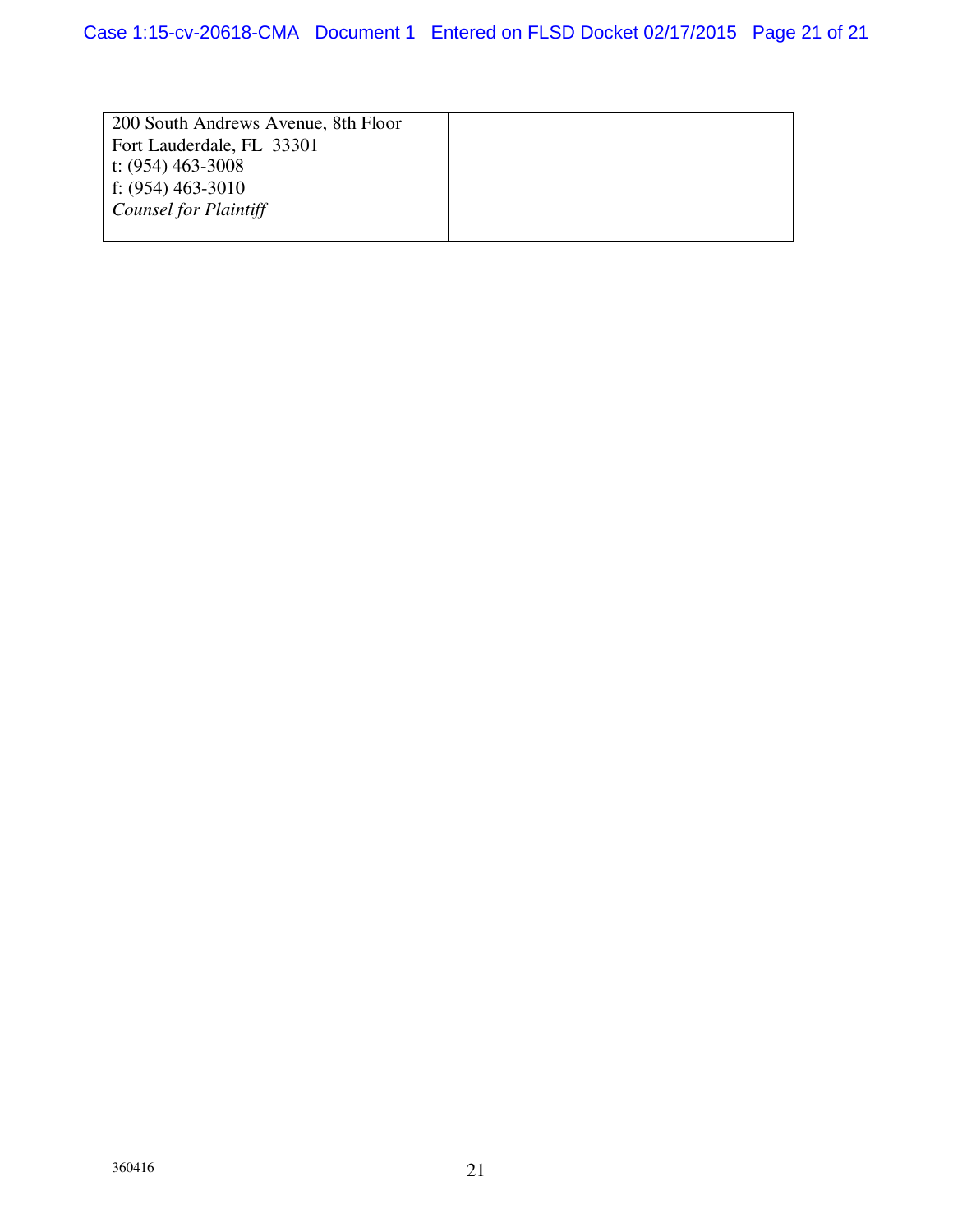| 200 South Andrews Avenue, 8th Floor |  |
|-------------------------------------|--|
| Fort Lauderdale, FL 33301           |  |
| t: $(954)$ 463-3008                 |  |
| f: $(954)$ 463-3010                 |  |
| <b>Counsel for Plaintiff</b>        |  |
|                                     |  |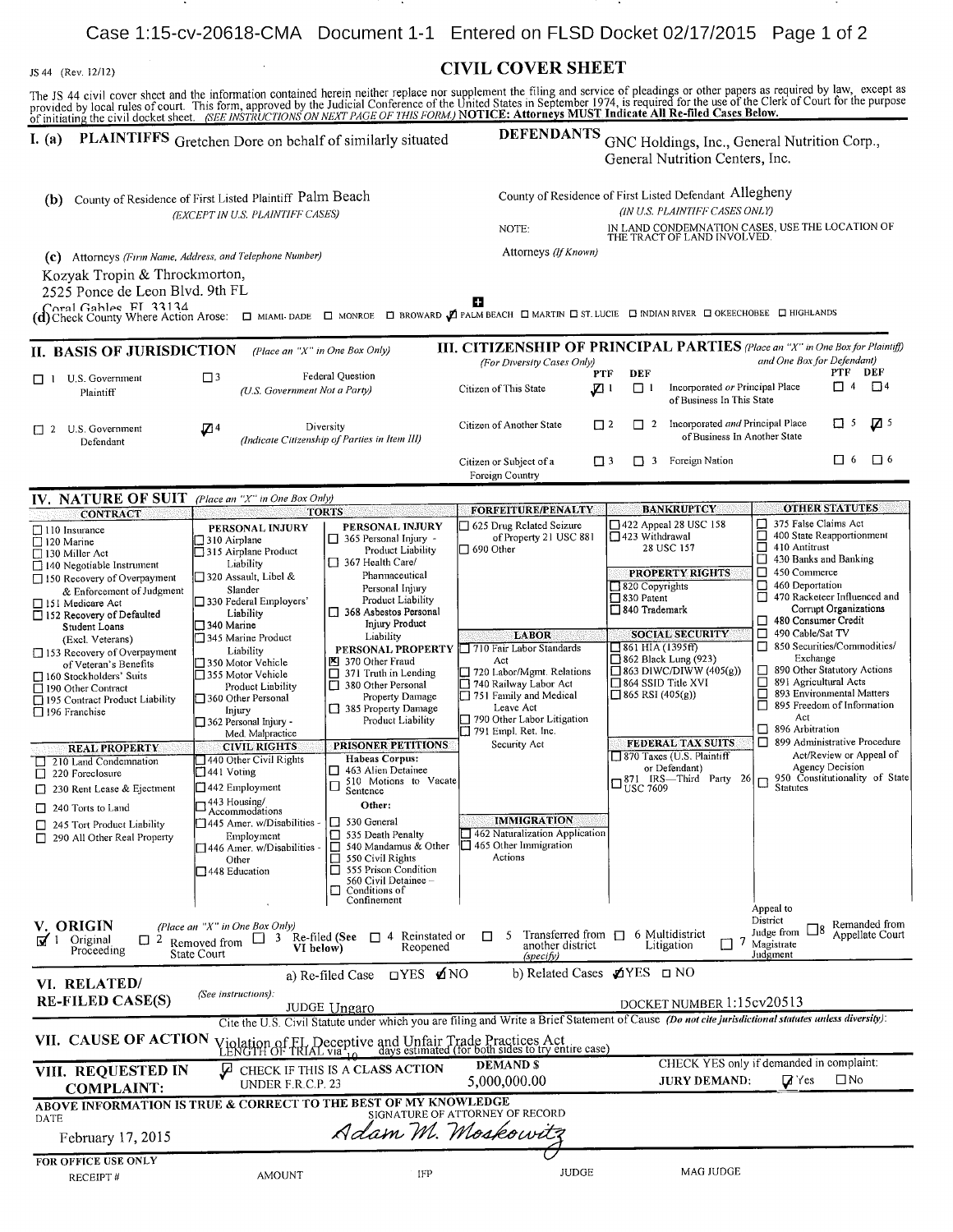#### JS <sup>44</sup> (Rev. 12/12) CIVIL COVER SHEET

The JS 44 civil cover sheet and the information contained herein neither replace nor supplement the filing and service of pleadings or other papers as required by law, except as provided by local rules of court. This form,

| 01 minamig ult tren docket sile                                        |                                                          |                                                     |                                                                                                                                       |                                                                                                                                                                                            |                                                                  |  |
|------------------------------------------------------------------------|----------------------------------------------------------|-----------------------------------------------------|---------------------------------------------------------------------------------------------------------------------------------------|--------------------------------------------------------------------------------------------------------------------------------------------------------------------------------------------|------------------------------------------------------------------|--|
| PLAINTIFFS Gretchen Dore on behalf of similarly situated<br>I. $(a)$   |                                                          |                                                     | <b>DEFENDANTS</b><br>GNC Holdings, Inc., General Nutrition Corp.,<br>General Nutrition Centers, Inc.                                  |                                                                                                                                                                                            |                                                                  |  |
|                                                                        |                                                          |                                                     |                                                                                                                                       |                                                                                                                                                                                            |                                                                  |  |
| County of Residence of First Listed Plaintiff Palm Beach<br>(b)        |                                                          |                                                     | County of Residence of First Listed Defendant Allegheny                                                                               |                                                                                                                                                                                            |                                                                  |  |
|                                                                        | (EXCEPT IN U.S. PLAINTIFF CASES)                         |                                                     | NOTE:                                                                                                                                 | (IN U.S. PLAINTIFF CASES ONLY)                                                                                                                                                             |                                                                  |  |
|                                                                        |                                                          |                                                     | IN LAND CONDEMNATION CASES, USE THE LOCATION OF THE TRACT OF LAND INVOLVED.                                                           |                                                                                                                                                                                            |                                                                  |  |
| (c) Attorneys (Firm Name, Address, and Telephone Number)               |                                                          |                                                     | Attorneys (If Known)                                                                                                                  |                                                                                                                                                                                            |                                                                  |  |
| Kozyak Tropin & Throckmorton,<br>2525 Ponce de Leon Blvd. 9th FL       |                                                          |                                                     |                                                                                                                                       |                                                                                                                                                                                            |                                                                  |  |
| Coral Gables FI 33134                                                  |                                                          |                                                     |                                                                                                                                       |                                                                                                                                                                                            |                                                                  |  |
|                                                                        |                                                          |                                                     |                                                                                                                                       | (d) Check County Where Action Arose: $\Box$ MIAMI-DADE $\Box$ MONROE $\Box$ BROWARD $\Box$ PALM BEACH $\Box$ MARTIN $\Box$ ST. LUCIE $\Box$ MDIAN RIVER $\Box$ OKEECHOBEE $\Box$ HIGHLANDS |                                                                  |  |
| II. BASIS OF JURISDICTION                                              | (Place an "X" in One Box Only)                           |                                                     |                                                                                                                                       | <b>III. CITIZENSHIP OF PRINCIPAL PARTIES</b> (Place an "X" in One Box for Plaintiff)                                                                                                       | and One Box for Defendant)                                       |  |
| $\Box$ 1 U.S. Government                                               | Federal Question<br>$\Box$ <sup>3</sup>                  |                                                     | (For Diversity Cases Only)                                                                                                            | <b>DEF</b><br><b>PTF</b>                                                                                                                                                                   | PTF DEF                                                          |  |
| Plaintiff                                                              | (U.S. Government Not a Party)                            |                                                     | Citizen of This State                                                                                                                 | Incorporated or Principal Place<br>ו ם<br>JZ 1<br>of Business In This State                                                                                                                | $\Box$ 4<br>$\Box$ 4                                             |  |
| $\Box$ 2 U.S. Government                                               | Z 4                                                      | Diversity                                           | Citizen of Another State                                                                                                              | Incorporated and Principal Place<br>$\Box$ 2<br>$\Box$ 2                                                                                                                                   | $\Box$ 5<br>$Z^{\frac{5}{2}}$                                    |  |
| Defendant                                                              |                                                          | (Indicate Citizenship of Parties in Item III)       |                                                                                                                                       | of Business In Another State                                                                                                                                                               |                                                                  |  |
|                                                                        |                                                          |                                                     | Citizen or Subject of a<br>Foreign Country                                                                                            | $\square$ 3<br>7 3 Foreign Nation                                                                                                                                                          | 口 6<br>□<br>-6                                                   |  |
| IV. NATURE OF SUIT                                                     | (Place an "X" in One Box Only)                           |                                                     |                                                                                                                                       |                                                                                                                                                                                            |                                                                  |  |
| <b>CONTRACT</b>                                                        |                                                          | <b>TORTS</b>                                        | FORFEITURE/PENALTY                                                                                                                    | <b>BANKRUPTCY</b>                                                                                                                                                                          | <b>OTHER STATUTES</b>                                            |  |
| 110 Insurance<br>$\Box$ 120 Marine                                     | PERSONAL INJURY<br>310 Airplane                          | PERSONAL INJURY<br>365 Personal Injury -<br>ப       | 625 Drug Related Seizure<br>of Property 21 USC 881                                                                                    | 422 Appeal 28 USC 158<br>□<br>□<br>□ 423 Withdrawal                                                                                                                                        | 375 False Claims Act<br>400 State Reapportionment                |  |
| $\Box$ 130 Miller Act                                                  | 315 Airplane Product                                     | Product Liability                                   | $\Box$ 690 Other                                                                                                                      | 28 USC 157                                                                                                                                                                                 | $\Box$ 410 Antitrust<br>$\Box$ 430 Banks and Banking             |  |
| $\Box$ 140 Negotiable Instrument<br>$\Box$ 150 Recovery of Overpayment | Liability<br>□ 320 Assault, Libel &                      | 367 Health Care/<br>Phannaceutical                  |                                                                                                                                       | PROPERTY RIGHTS                                                                                                                                                                            | $\Box$ 450 Commerce                                              |  |
| & Enforcement of Judgment                                              | Slander                                                  | Personal Injury                                     |                                                                                                                                       | 820 Copyrights                                                                                                                                                                             | $\Box$ 460 Deportation                                           |  |
| □ 151 Medicare Act                                                     | 330 Federal Employers'                                   | <b>Product Liability</b><br>368 Asbestos Personal   |                                                                                                                                       | □ 830 Patent<br>□ 840 Trademark                                                                                                                                                            | 1 470 Racketeer Influenced and<br>Corrupt Organizations          |  |
| □ 152 Recovery of Defaulted<br>Student Loans                           | Liability<br>$\Box$ 340 Marine                           | Injury Product                                      |                                                                                                                                       |                                                                                                                                                                                            | 480 Consumer Credit                                              |  |
| (Excl. Veterans)                                                       | 345 Marine Product                                       | Liability                                           | <b>LABOR</b>                                                                                                                          | <b>SOCIAL SECURITY</b>                                                                                                                                                                     | □ 490 Cable/Sat TV                                               |  |
| □ 153 Recovery of Overpayment                                          | Liability                                                | PERSONAL PROPERTY                                   | 710 Fair Labor Standards                                                                                                              | $\Box$ 861 HIA (1395ff)                                                                                                                                                                    | □ 850 Securities/Commodities/<br>Exchange                        |  |
| of Veteran's Benefits                                                  | 350 Motor Vehicle<br>□ 355 Motor Vehicle                 | 图 370 Other Fraud<br>$\Box$ 371 Truth in Lending    | Act<br>720 Labor/Mgmt. Relations                                                                                                      | $\Box$ 862 Black Lung (923)<br>$\Box$ 863 DIWC/DIWW (405(g))                                                                                                                               | □ 890 Other Statutory Actions                                    |  |
| 160 Stockholders' Suits<br>□ 190 Other Contract                        | Product Liability                                        | 380 Other Personal                                  | 740 Railway Labor Act                                                                                                                 | $\Box$ 864 SSID Title XVI                                                                                                                                                                  | 891 Agricultural Acts                                            |  |
| □ 195 Contract Product Liability                                       | □ 360 Other Personal                                     | Property Damage                                     | 751 Family and Medical<br>Leave Act                                                                                                   | $\Box$ 865 RSI (405(g))                                                                                                                                                                    | □ 893 Environmental Matters<br>$\Box$ 895 Freedom of Information |  |
| $\Box$ 196 Franchise                                                   | Injury<br>□ 362 Personal Injury -                        | 385 Property Damage<br>Product Liability            | 790 Other Labor Litigation                                                                                                            |                                                                                                                                                                                            | Act                                                              |  |
|                                                                        | Med. Malpractice                                         |                                                     | 791 Empl. Ret. Inc.                                                                                                                   |                                                                                                                                                                                            | □ 896 Arbitration                                                |  |
| <b>REAL PROPERTY</b>                                                   | <b>CIVIL RIGHTS</b>                                      | PRISONER PETITIONS                                  | Security Act                                                                                                                          | <b>FEDERAL TAX SUITS</b>                                                                                                                                                                   | □ 899 Administrative Procedure<br>Act/Review or Appeal of        |  |
| 210 Land Condemnation                                                  | 440 Other Civil Rights<br>$\Box$ 441 Voting              | <b>Habeas Corpus:</b><br>$\Box$ 463 Alien Detainee  |                                                                                                                                       | 870 Taxes (U.S. Plaintiff<br>or Defendant)                                                                                                                                                 | Agency Decision                                                  |  |
| $\Box$ 220 Foreclosure                                                 | $\Box$ 442 Employment                                    | 510 Motions to Vacate<br>$\Box$                     |                                                                                                                                       | S71 IRS-Third Party 26                                                                                                                                                                     | $\Box$ 950 Constitutionality of State<br>Statutes                |  |
| 7 230 Rent Lease & Ejectment                                           | 443 Housing/                                             | Sentence                                            |                                                                                                                                       |                                                                                                                                                                                            |                                                                  |  |
| $\Box$ 240 Torts to Land                                               | Accommodations                                           | Other:                                              | <b>IMMIGRATION</b>                                                                                                                    |                                                                                                                                                                                            |                                                                  |  |
| 245 Tort Product Liability                                             | □ 445 Amer. w/Disabilities -                             | $\Box$ 530 General<br>$\Box$ 535 Death Penalty      | 462 Naturalization Application                                                                                                        |                                                                                                                                                                                            |                                                                  |  |
| $\Box$ 290 All Other Real Property                                     | Employment<br>446 Amer. w/Disabilities -                 | 540 Mandamus & Other                                | $\Box$ 465 Other Immigration                                                                                                          |                                                                                                                                                                                            |                                                                  |  |
|                                                                        | Other                                                    | 550 Civil Rights                                    | Actions                                                                                                                               |                                                                                                                                                                                            |                                                                  |  |
|                                                                        | 448 Education                                            | 555 Prison Condition<br>п<br>560 Civil Detainee -   |                                                                                                                                       |                                                                                                                                                                                            |                                                                  |  |
|                                                                        |                                                          | Conditions of<br>Confinement                        |                                                                                                                                       |                                                                                                                                                                                            |                                                                  |  |
|                                                                        |                                                          |                                                     |                                                                                                                                       |                                                                                                                                                                                            | Appeal to                                                        |  |
| V. ORIGIN                                                              | (Place an "X" in One Box Only)                           |                                                     | 5                                                                                                                                     | Transferred from $\Box$ 6 Multidistrict                                                                                                                                                    | District<br>Remanded from<br>Judge from<br>Appellate Court       |  |
| ा ज<br>Original<br>$\Box$ 2<br>Proceeding                              | Removed from $\Box$ 3<br>VI below)<br><b>State Court</b> | $\Box$ 4 Reinstated or<br>Re-filed (See<br>Reopened | п<br>another district<br>(specify)                                                                                                    | $\overline{1}$<br>$\mathbf{I}$<br>Litigation                                                                                                                                               | Magistrate<br>Judgment                                           |  |
|                                                                        |                                                          | ⊡YES ØNO<br>a) Re-filed Case                        |                                                                                                                                       | b) Related Cases $\triangle$ YES $\Box$ NO                                                                                                                                                 |                                                                  |  |
| VI. RELATED/                                                           | (See instructions):                                      |                                                     |                                                                                                                                       |                                                                                                                                                                                            |                                                                  |  |
| <b>RE-FILED CASE(S)</b>                                                |                                                          | JUDGE Ungaro                                        |                                                                                                                                       | DOCKET NUMBER 1:15cv20513                                                                                                                                                                  |                                                                  |  |
|                                                                        |                                                          |                                                     |                                                                                                                                       | Cite the U.S. Civil Statute under which you are filing and Write a Brief Statement of Cause (Do not cite jurisdictional statutes unless diversity):                                        |                                                                  |  |
| VII. CAUSE OF ACTION                                                   |                                                          |                                                     | (iolation of FL Deceptive and Unfair Trade Practices Act<br>LENGTH OF TRIAL via 10 days estimated (for both sides to try entire case) |                                                                                                                                                                                            |                                                                  |  |
| VIII. REQUESTED IN                                                     | ⊿ل                                                       | CHECK IF THIS IS A CLASS ACTION                     | <b>DEMANDS</b>                                                                                                                        |                                                                                                                                                                                            | CHECK YES only if demanded in complaint:                         |  |
| <b>COMPLAINT:</b>                                                      | UNDER F.R.C.P. 23                                        |                                                     | 5,000,000.00                                                                                                                          | <b>JURY DEMAND:</b>                                                                                                                                                                        | $\square$ No<br>$\mathbf{Z}$ Yes                                 |  |
| ABOVE INFORMATION IS TRUE & CORRECT TO THE BEST OF MY KNOWLEDGE        |                                                          |                                                     |                                                                                                                                       |                                                                                                                                                                                            |                                                                  |  |
| SIGNATURE OF ATTORNEY OF RECORD<br>DATE<br>Adam M. Moskowitz           |                                                          |                                                     |                                                                                                                                       |                                                                                                                                                                                            |                                                                  |  |
| February 17, 2015                                                      |                                                          |                                                     |                                                                                                                                       |                                                                                                                                                                                            |                                                                  |  |
| FOR OFFICE USE ONLY                                                    |                                                          |                                                     | <b>JUDGE</b>                                                                                                                          | MAG JUDGE                                                                                                                                                                                  |                                                                  |  |
| RECEIPT#                                                               | <b>AMOUNT</b>                                            | IFP                                                 |                                                                                                                                       |                                                                                                                                                                                            |                                                                  |  |